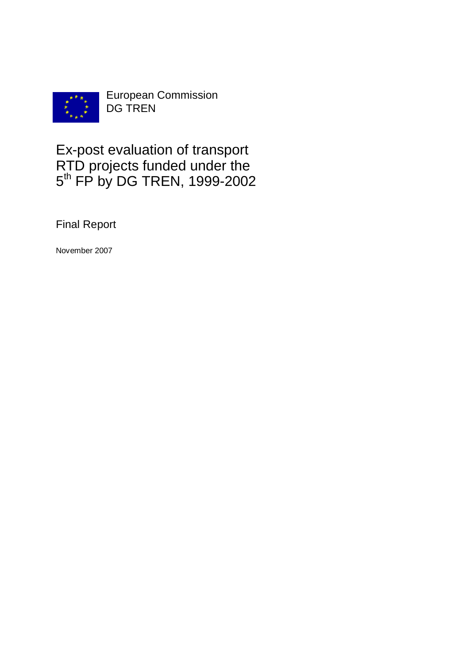

European Commission DG TREN

# Ex-post evaluation of transport RTD projects funded under the 5<sup>th</sup> FP by DG TREN, 1999-2002

Final Report

November 2007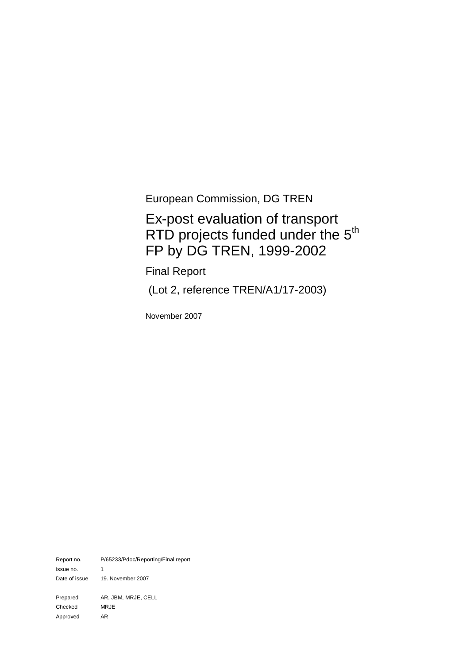European Commission, DG TREN

# Ex-post evaluation of transport RTD projects funded under the 5<sup>th</sup> FP by DG TREN, 1999-2002

Final Report

(Lot 2, reference TREN/A1/17-2003)

November 2007

Report no. P/65233/Pdoc/Reporting/Final report Issue no. 1 Date of issue 19. November 2007 Prepared AR, JBM, MRJE, CELL Checked MRJE Approved AR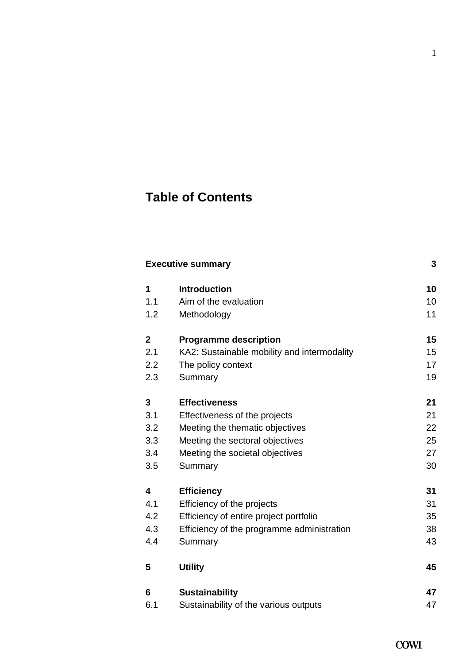# **Table of Contents**

| <b>Executive summary</b> |                                             |    |
|--------------------------|---------------------------------------------|----|
| 1                        | <b>Introduction</b>                         | 10 |
| 1.1                      | Aim of the evaluation                       | 10 |
| 1.2                      | Methodology                                 | 11 |
| $\mathbf{2}$             | <b>Programme description</b>                | 15 |
| 2.1                      | KA2: Sustainable mobility and intermodality | 15 |
| 2.2                      | The policy context                          | 17 |
| 2.3                      | Summary                                     | 19 |
| 3                        | <b>Effectiveness</b>                        | 21 |
| 3.1                      | Effectiveness of the projects               | 21 |
| 3.2                      | Meeting the thematic objectives             | 22 |
| 3.3                      | Meeting the sectoral objectives             | 25 |
| 3.4                      | Meeting the societal objectives             | 27 |
| 3.5                      | Summary                                     | 30 |
| 4                        | <b>Efficiency</b>                           | 31 |
| 4.1                      | Efficiency of the projects                  | 31 |
| 4.2                      | Efficiency of entire project portfolio      | 35 |
| 4.3                      | Efficiency of the programme administration  | 38 |
| 4.4                      | Summary                                     | 43 |
| 5                        | <b>Utility</b>                              | 45 |
| 6                        | <b>Sustainability</b>                       | 47 |
| 6.1                      | Sustainability of the various outputs       | 47 |

1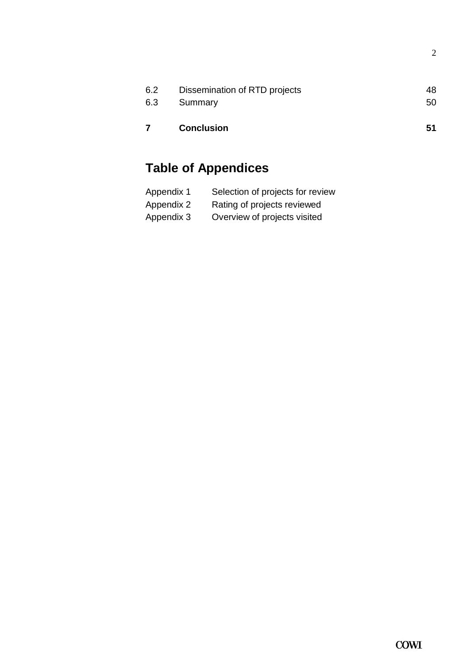| 6.3 | Summary<br><b>Conclusion</b>  | 50<br>51 |
|-----|-------------------------------|----------|
| 6.2 | Dissemination of RTD projects | 48       |

# **Table of Appendices**

| Appendix 1 | Selection of projects for review |
|------------|----------------------------------|
| Appendix 2 | Rating of projects reviewed      |
| Appendix 3 | Overview of projects visited     |

2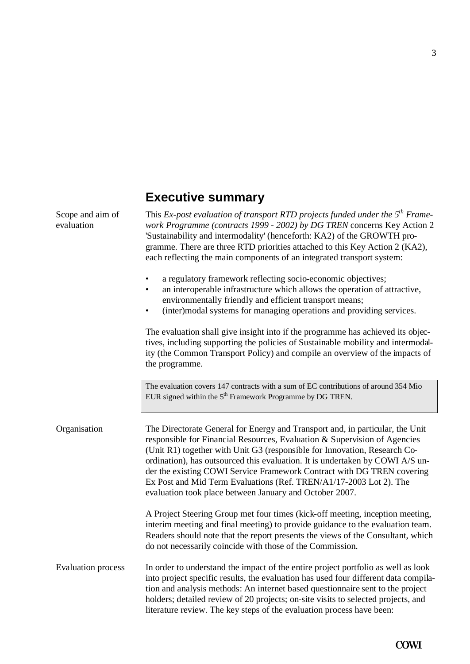# **Executive summary**

Scope and aim of evaluation

This *Ex-post evaluation of transport RTD projects funded under the 5th Framework Programme (contracts 1999 - 2002) by DG TREN* concerns Key Action 2 'Sustainability and intermodality' (henceforth: KA2) of the GROWTH programme. There are three RTD priorities attached to this Key Action 2 (KA2), each reflecting the main components of an integrated transport system:

- a regulatory framework reflecting socio-economic objectives;
- an interoperable infrastructure which allows the operation of attractive, environmentally friendly and efficient transport means;
- (inter)modal systems for managing operations and providing services.

The evaluation shall give insight into if the programme has achieved its objectives, including supporting the policies of Sustainable mobility and intermodality (the Common Transport Policy) and compile an overview of the impacts of the programme.

The evaluation covers 147 contracts with a sum of EC contributions of around 354 Mio EUR signed within the  $5<sup>th</sup>$  Framework Programme by DG TREN.

Organisation The Directorate General for Energy and Transport and, in particular, the Unit responsible for Financial Resources, Evaluation & Supervision of Agencies (Unit R1) together with Unit G3 (responsible for Innovation, Research Coordination), has outsourced this evaluation. It is undertaken by COWI A/S under the existing COWI Service Framework Contract with DG TREN covering Ex Post and Mid Term Evaluations (Ref. TREN/A1/17-2003 Lot 2). The evaluation took place between January and October 2007. A Project Steering Group met four times (kick-off meeting, inception meeting, interim meeting and final meeting) to provide guidance to the evaluation team. Readers should note that the report presents the views of the Consultant, which do not necessarily coincide with those of the Commission. In order to understand the impact of the entire project portfolio as well as look Evaluation process

into project specific results, the evaluation has used four different data compilation and analysis methods: An internet based questionnaire sent to the project holders; detailed review of 20 projects; on-site visits to selected projects, and literature review. The key steps of the evaluation process have been: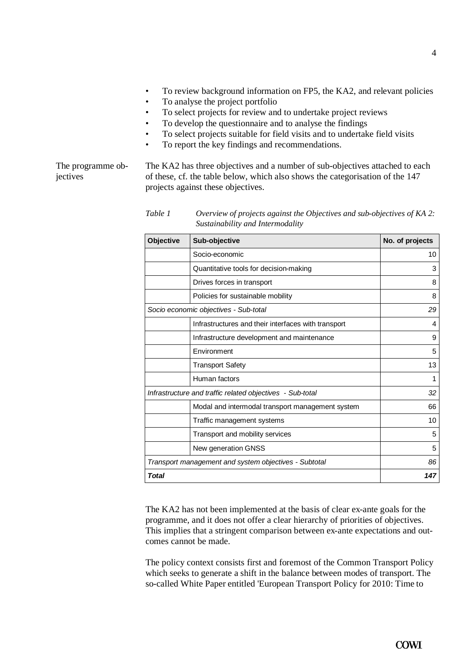- To review background information on FP5, the KA2, and relevant policies
- To analyse the project portfolio
- To select projects for review and to undertake project reviews
- To develop the questionnaire and to analyse the findings
- To select projects suitable for field visits and to undertake field visits
- To report the key findings and recommendations.

The programme objectives

The KA2 has three objectives and a number of sub-objectives attached to each of these, cf. the table below, which also shows the categorisation of the 147 projects against these objectives.

*Table 1 Overview of projects against the Objectives and sub-objectives of KA 2: Sustainability and Intermodality*

| <b>Objective</b> | Sub-objective                                             | No. of projects |
|------------------|-----------------------------------------------------------|-----------------|
|                  | Socio-economic                                            | 10              |
|                  | Quantitative tools for decision-making                    | 3               |
|                  | Drives forces in transport                                | 8               |
|                  | Policies for sustainable mobility                         | 8               |
|                  | Socio economic objectives - Sub-total                     | 29              |
|                  | Infrastructures and their interfaces with transport       | 4               |
|                  | Infrastructure development and maintenance                | 9               |
|                  | Environment                                               | 5               |
|                  | <b>Transport Safety</b>                                   | 13              |
|                  | Human factors                                             | 1               |
|                  | Infrastructure and traffic related objectives - Sub-total | 32              |
|                  | Modal and intermodal transport management system          | 66              |
|                  | Traffic management systems                                | 10              |
|                  | Transport and mobility services                           | 5               |
|                  | New generation GNSS                                       | 5               |
|                  | Transport management and system objectives - Subtotal     | 86              |
| <b>Total</b>     |                                                           | 147             |

The KA2 has not been implemented at the basis of clear ex-ante goals for the programme, and it does not offer a clear hierarchy of priorities of objectives. This implies that a stringent comparison between ex-ante expectations and outcomes cannot be made.

The policy context consists first and foremost of the Common Transport Policy which seeks to generate a shift in the balance between modes of transport. The so-called White Paper entitled 'European Transport Policy for 2010: Time to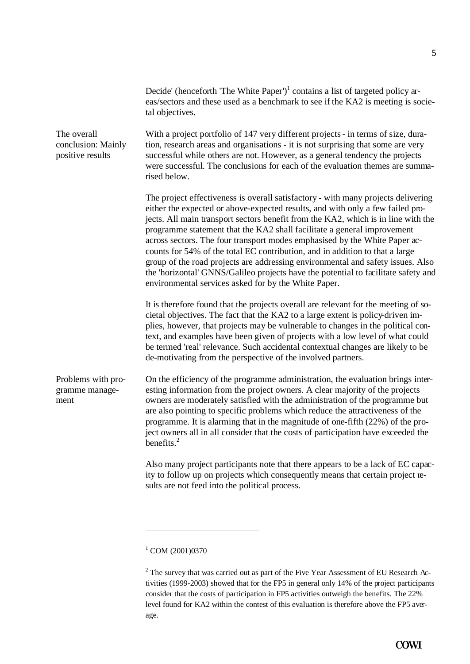|                                                       | Decide' (henceforth 'The White Paper') <sup>1</sup> contains a list of targeted policy ar-<br>eas/sectors and these used as a benchmark to see if the KA2 is meeting is socie-<br>tal objectives.                                                                                                                                                                                                                                                                                                                                                                                                                                                                                                                                  |
|-------------------------------------------------------|------------------------------------------------------------------------------------------------------------------------------------------------------------------------------------------------------------------------------------------------------------------------------------------------------------------------------------------------------------------------------------------------------------------------------------------------------------------------------------------------------------------------------------------------------------------------------------------------------------------------------------------------------------------------------------------------------------------------------------|
| The overall<br>conclusion: Mainly<br>positive results | With a project portfolio of 147 very different projects - in terms of size, dura-<br>tion, research areas and organisations - it is not surprising that some are very<br>successful while others are not. However, as a general tendency the projects<br>were successful. The conclusions for each of the evaluation themes are summa-<br>rised below.                                                                                                                                                                                                                                                                                                                                                                             |
|                                                       | The project effectiveness is overall satisfactory - with many projects delivering<br>either the expected or above-expected results, and with only a few failed pro-<br>jects. All main transport sectors benefit from the KA2, which is in line with the<br>programme statement that the KA2 shall facilitate a general improvement<br>across sectors. The four transport modes emphasised by the White Paper ac-<br>counts for 54% of the total EC contribution, and in addition to that a large<br>group of the road projects are addressing environmental and safety issues. Also<br>the 'horizontal' GNNS/Galileo projects have the potential to facilitate safety and<br>environmental services asked for by the White Paper. |
|                                                       | It is therefore found that the projects overall are relevant for the meeting of so-<br>cietal objectives. The fact that the KA2 to a large extent is policy-driven im-<br>plies, however, that projects may be vulnerable to changes in the political con-<br>text, and examples have been given of projects with a low level of what could<br>be termed 'real' relevance. Such accidental contextual changes are likely to be<br>de-motivating from the perspective of the involved partners.                                                                                                                                                                                                                                     |
| Problems with pro-<br>gramme manage-<br>ment          | On the efficiency of the programme administration, the evaluation brings inter-<br>esting information from the project owners. A clear majority of the projects<br>owners are moderately satisfied with the administration of the programme but<br>are also pointing to specific problems which reduce the attractiveness of the<br>programme. It is alarming that in the magnitude of one-fifth (22%) of the pro-<br>ject owners all in all consider that the costs of participation have exceeded the<br>benefits. $2$                                                                                                                                                                                                           |
|                                                       | Also many project participants note that there appears to be a lack of EC capac-<br>ity to follow up on projects which consequently means that certain project re-<br>sults are not feed into the political process.                                                                                                                                                                                                                                                                                                                                                                                                                                                                                                               |

<sup>&</sup>lt;sup>1</sup> COM (2001)0370

 $\overline{a}$ 

 $2$  The survey that was carried out as part of the Five Year Assessment of EU Research Activities (1999-2003) showed that for the FP5 in general only 14% of the project participants consider that the costs of participation in FP5 activities outweigh the benefits. The 22% level found for KA2 within the contest of this evaluation is therefore above the FP5 average.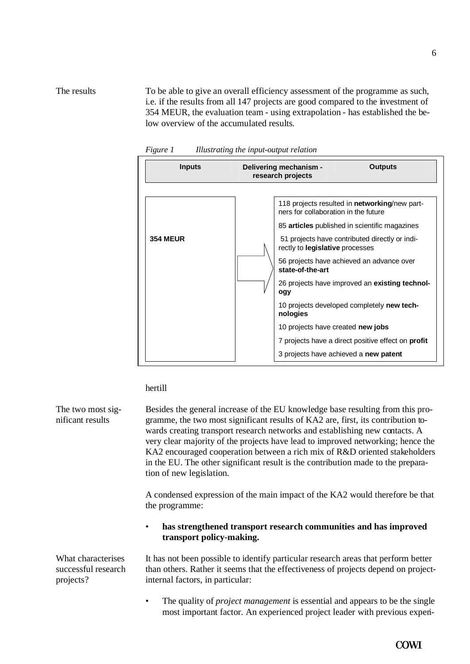To be able to give an overall efficiency assessment of the programme as such, i.e. if the results from all 147 projects are good compared to the investment of 354 MEUR, the evaluation team - using extrapolation - has established the below overview of the accumulated results. The results





hertill

Besides the general increase of the EU knowledge base resulting from this programme, the two most significant results of KA2 are, first, its contribution towards creating transport research networks and establishing new contacts. A very clear majority of the projects have lead to improved networking; hence the KA2 encouraged cooperation between a rich mix of R&D oriented stakeholders in the EU. The other significant result is the contribution made to the preparation of new legislation. The two most significant results

> A condensed expression of the main impact of the KA2 would therefore be that the programme:

#### • **has strengthened transport research communities and has improved transport policy-making.**

It has not been possible to identify particular research areas that perform better than others. Rather it seems that the effectiveness of projects depend on projectinternal factors, in particular:

• The quality of *project management* is essential and appears to be the single most important factor. An experienced project leader with previous experi-

6

**COWI** 

What characterises successful research projects?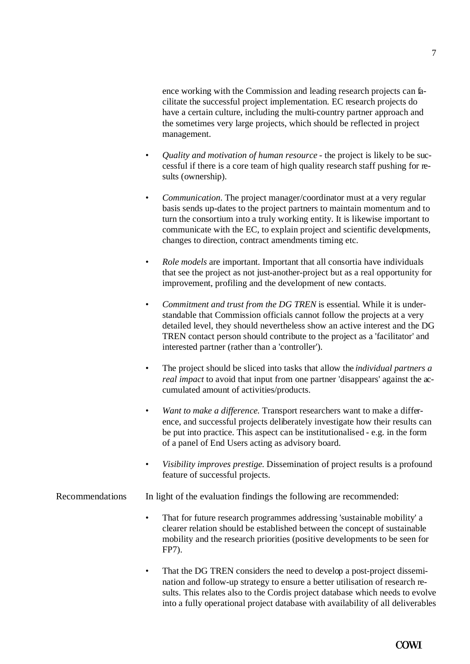ence working with the Commission and leading research projects can facilitate the successful project implementation. EC research projects do have a certain culture, including the multi-country partner approach and the sometimes very large projects, which should be reflected in project management.

- *Quality and motivation of human resource* the project is likely to be successful if there is a core team of high quality research staff pushing for results (ownership).
- *Communication*. The project manager/coordinator must at a very regular basis sends up-dates to the project partners to maintain momentum and to turn the consortium into a truly working entity. It is likewise important to communicate with the EC, to explain project and scientific developments, changes to direction, contract amendments timing etc.
- *Role models* are important. Important that all consortia have individuals that see the project as not just-another-project but as a real opportunity for improvement, profiling and the development of new contacts.
- *Commitment and trust from the DG TREN* is essential. While it is understandable that Commission officials cannot follow the projects at a very detailed level, they should nevertheless show an active interest and the DG TREN contact person should contribute to the project as a 'facilitator' and interested partner (rather than a 'controller').
- The project should be sliced into tasks that allow the *individual partners a real impact* to avoid that input from one partner 'disappears' against the accumulated amount of activities/products.
- *Want to make a difference.* Transport researchers want to make a difference, and successful projects deliberately investigate how their results can be put into practice. This aspect can be institutionalised - e.g. in the form of a panel of End Users acting as advisory board.
- *Visibility improves prestige*. Dissemination of project results is a profound feature of successful projects.

### Recommendations In light of the evaluation findings the following are recommended:

- That for future research programmes addressing 'sustainable mobility' a clearer relation should be established between the concept of sustainable mobility and the research priorities (positive developments to be seen for FP7).
- That the DG TREN considers the need to develop a post-project dissemination and follow-up strategy to ensure a better utilisation of research results. This relates also to the Cordis project database which needs to evolve into a fully operational project database with availability of all deliverables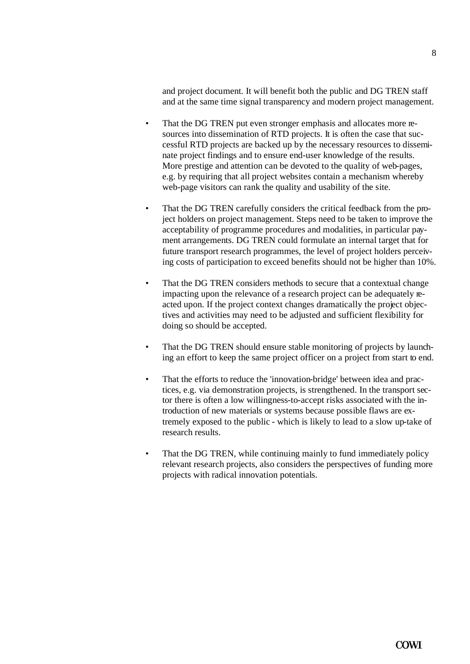and project document. It will benefit both the public and DG TREN staff and at the same time signal transparency and modern project management.

- That the DG TREN put even stronger emphasis and allocates more resources into dissemination of RTD projects. It is often the case that successful RTD projects are backed up by the necessary resources to disseminate project findings and to ensure end-user knowledge of the results. More prestige and attention can be devoted to the quality of web-pages, e.g. by requiring that all project websites contain a mechanism whereby web-page visitors can rank the quality and usability of the site.
- That the DG TREN carefully considers the critical feedback from the project holders on project management. Steps need to be taken to improve the acceptability of programme procedures and modalities, in particular payment arrangements. DG TREN could formulate an internal target that for future transport research programmes, the level of project holders perceiving costs of participation to exceed benefits should not be higher than 10%.
- That the DG TREN considers methods to secure that a contextual change impacting upon the relevance of a research project can be adequately reacted upon. If the project context changes dramatically the project objectives and activities may need to be adjusted and sufficient flexibility for doing so should be accepted.
- That the DG TREN should ensure stable monitoring of projects by launching an effort to keep the same project officer on a project from start to end.
- That the efforts to reduce the 'innovation-bridge' between idea and practices, e.g. via demonstration projects, is strengthened. In the transport sector there is often a low willingness-to-accept risks associated with the introduction of new materials or systems because possible flaws are extremely exposed to the public - which is likely to lead to a slow up-take of research results.
- That the DG TREN, while continuing mainly to fund immediately policy relevant research projects, also considers the perspectives of funding more projects with radical innovation potentials.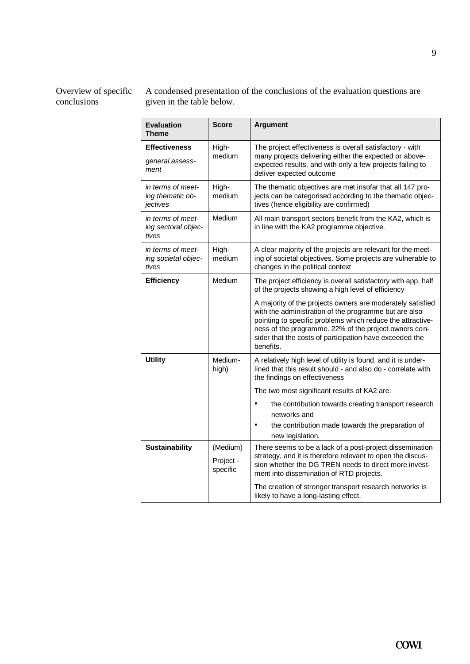#### Overview of specific conclusions

A condensed presentation of the conclusions of the evaluation questions are given in the table below.

| <b>Evaluation</b><br>Theme                        | Score                             | <b>Argument</b>                                                                                                                                                                                                                                                                                                    |
|---------------------------------------------------|-----------------------------------|--------------------------------------------------------------------------------------------------------------------------------------------------------------------------------------------------------------------------------------------------------------------------------------------------------------------|
| <b>Effectiveness</b><br>general assess-<br>ment   | High-<br>medium                   | The project effectiveness is overall satisfactory - with<br>many projects delivering either the expected or above-<br>expected results, and with only a few projects failing to<br>deliver expected outcome                                                                                                        |
| in terms of meet-<br>ing thematic ob-<br>jectives | High-<br>medium                   | The thematic objectives are met insofar that all 147 pro-<br>jects can be categorised according to the thematic objec-<br>tives (hence eligibility are confirmed)                                                                                                                                                  |
| in terms of meet-<br>ing sectoral objec-<br>tives | Medium                            | All main transport sectors benefit from the KA2, which is<br>in line with the KA2 programme objective.                                                                                                                                                                                                             |
| in terms of meet-<br>ing societal objec-<br>tives | High-<br>medium                   | A clear majority of the projects are relevant for the meet-<br>ing of societal objectives. Some projects are vulnerable to<br>changes in the political context                                                                                                                                                     |
| <b>Efficiency</b>                                 | Medium                            | The project efficiency is overall satisfactory with app. half<br>of the projects showing a high level of efficiency                                                                                                                                                                                                |
|                                                   |                                   | A majority of the projects owners are moderately satisfied<br>with the administration of the programme but are also<br>pointing to specific problems which reduce the attractive-<br>ness of the programme. 22% of the project owners con-<br>sider that the costs of participation have exceeded the<br>benefits. |
| <b>Utility</b>                                    | Medium-<br>high)                  | A relatively high level of utility is found, and it is under-<br>lined that this result should - and also do - correlate with<br>the findings on effectiveness                                                                                                                                                     |
|                                                   |                                   | The two most significant results of KA2 are:                                                                                                                                                                                                                                                                       |
|                                                   |                                   | the contribution towards creating transport research<br>networks and<br>the contribution made towards the preparation of<br>new legislation.                                                                                                                                                                       |
| <b>Sustainability</b>                             | (Medium)<br>Project -<br>specific | There seems to be a lack of a post-project dissemination<br>strategy, and it is therefore relevant to open the discus-<br>sion whether the DG TREN needs to direct more invest-<br>ment into dissemination of RTD projects.                                                                                        |
|                                                   |                                   | The creation of stronger transport research networks is<br>likely to have a long-lasting effect.                                                                                                                                                                                                                   |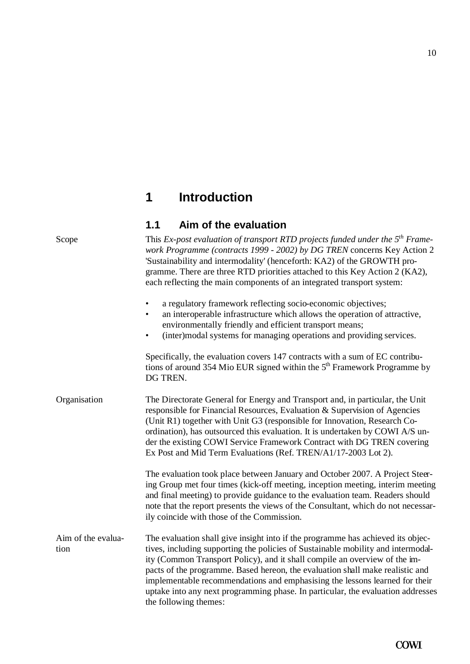# **1 Introduction**

### **1.1 Aim of the evaluation**

This *Ex-post evaluation of transport RTD projects funded under the 5th Framework Programme (contracts 1999 - 2002) by DG TREN* concerns Key Action 2 'Sustainability and intermodality' (henceforth: KA2) of the GROWTH programme. There are three RTD priorities attached to this Key Action 2 (KA2), each reflecting the main components of an integrated transport system: a regulatory framework reflecting socio-economic objectives; an interoperable infrastructure which allows the operation of attractive, environmentally friendly and efficient transport means; • (inter)modal systems for managing operations and providing services. Specifically, the evaluation covers 147 contracts with a sum of EC contributions of around 354 Mio EUR signed within the  $5<sup>th</sup>$  Framework Programme by DG TREN. Organisation The Directorate General for Energy and Transport and, in particular, the Unit responsible for Financial Resources, Evaluation & Supervision of Agencies (Unit R1) together with Unit G3 (responsible for Innovation, Research Coordination), has outsourced this evaluation. It is undertaken by COWI A/S under the existing COWI Service Framework Contract with DG TREN covering Ex Post and Mid Term Evaluations (Ref. TREN/A1/17-2003 Lot 2). The evaluation took place between January and October 2007. A Project Steering Group met four times (kick-off meeting, inception meeting, interim meeting and final meeting) to provide guidance to the evaluation team. Readers should note that the report presents the views of the Consultant, which do not necessarily coincide with those of the Commission. The evaluation shall give insight into if the programme has achieved its objectives, including supporting the policies of Sustainable mobility and intermodality (Common Transport Policy), and it shall compile an overview of the impacts of the programme. Based hereon, the evaluation shall make realistic and implementable recommendations and emphasising the lessons learned for their uptake into any next programming phase. In particular, the evaluation addresses the following themes: Scope Aim of the evaluation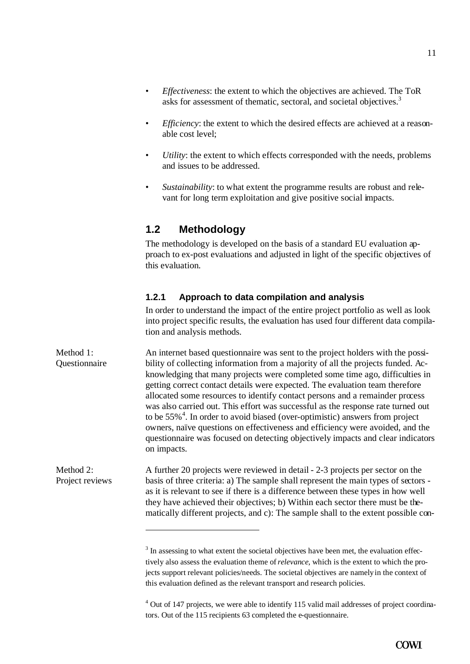- *Effectiveness*: the extent to which the objectives are achieved. The ToR asks for assessment of thematic, sectoral, and societal objectives.<sup>3</sup>
- *Efficiency*: the extent to which the desired effects are achieved at a reasonable cost level;
- *Utility*: the extent to which effects corresponded with the needs, problems and issues to be addressed.
- *Sustainability*: to what extent the programme results are robust and relevant for long term exploitation and give positive social impacts.

### **1.2 Methodology**

The methodology is developed on the basis of a standard EU evaluation approach to ex-post evaluations and adjusted in light of the specific objectives of this evaluation.

### **1.2.1 Approach to data compilation and analysis**

In order to understand the impact of the entire project portfolio as well as look into project specific results, the evaluation has used four different data compilation and analysis methods.

An internet based questionnaire was sent to the project holders with the possibility of collecting information from a majority of all the projects funded. Acknowledging that many projects were completed some time ago, difficulties in getting correct contact details were expected. The evaluation team therefore allocated some resources to identify contact persons and a remainder process was also carried out. This effort was successful as the response rate turned out to be  $55\%$ <sup>4</sup>. In order to avoid biased (over-optimistic) answers from project owners, naïve questions on effectiveness and efficiency were avoided, and the questionnaire was focused on detecting objectively impacts and clear indicators on impacts. Method 1<sup>.</sup> **Ouestionnaire** 

A further 20 projects were reviewed in detail - 2-3 projects per sector on the basis of three criteria: a) The sample shall represent the main types of sectors as it is relevant to see if there is a difference between these types in how well they have achieved their objectives; b) Within each sector there must be thematically different projects, and c): The sample shall to the extent possible con- Method 2: Project reviews

 $\overline{a}$ 

 $3$  In assessing to what extent the societal objectives have been met, the evaluation effectively also assess the evaluation theme of *relevance*, which is the extent to which the projects support relevant policies/needs. The societal objectives are namely in the context of this evaluation defined as the relevant transport and research policies.

<sup>&</sup>lt;sup>4</sup> Out of 147 projects, we were able to identify 115 valid mail addresses of project coordinators. Out of the 115 recipients 63 completed the e-questionnaire.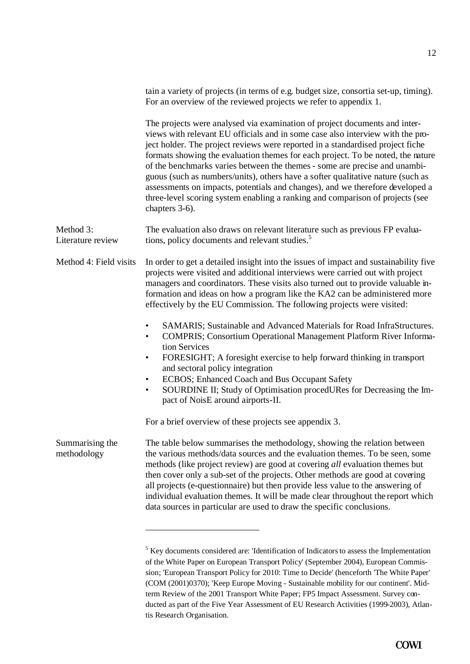|                                | tain a variety of projects (in terms of e.g. budget size, consortia set-up, timing).<br>For an overview of the reviewed projects we refer to appendix 1.                                                                                                                                                                                                                                                                                                                                                                                                                                                                                                                               |
|--------------------------------|----------------------------------------------------------------------------------------------------------------------------------------------------------------------------------------------------------------------------------------------------------------------------------------------------------------------------------------------------------------------------------------------------------------------------------------------------------------------------------------------------------------------------------------------------------------------------------------------------------------------------------------------------------------------------------------|
|                                | The projects were analysed via examination of project documents and inter-<br>views with relevant EU officials and in some case also interview with the pro-<br>ject holder. The project reviews were reported in a standardised project fiche<br>formats showing the evaluation themes for each project. To be noted, the nature<br>of the benchmarks varies between the themes - some are precise and unambi-<br>guous (such as numbers/units), others have a softer qualitative nature (such as<br>assessments on impacts, potentials and changes), and we therefore developed a<br>three-level scoring system enabling a ranking and comparison of projects (see<br>chapters 3-6). |
| Method 3:<br>Literature review | The evaluation also draws on relevant literature such as previous FP evalua-<br>tions, policy documents and relevant studies. <sup>5</sup>                                                                                                                                                                                                                                                                                                                                                                                                                                                                                                                                             |
| Method 4: Field visits         | In order to get a detailed insight into the issues of impact and sustainability five<br>projects were visited and additional interviews were carried out with project<br>managers and coordinators. These visits also turned out to provide valuable in-<br>formation and ideas on how a program like the KA2 can be administered more<br>effectively by the EU Commission. The following projects were visited:                                                                                                                                                                                                                                                                       |
|                                | SAMARIS; Sustainable and Advanced Materials for Road InfraStructures.<br>$\bullet$<br><b>COMPRIS</b> ; Consortium Operational Management Platform River Informa-<br>$\bullet$<br>tion Services<br>FORESIGHT; A foresight exercise to help forward thinking in transport<br>$\bullet$<br>and sectoral policy integration<br>ECBOS; Enhanced Coach and Bus Occupant Safety<br>$\bullet$<br>SOURDINE II; Study of Optimisation procedURes for Decreasing the Im-<br>$\bullet$<br>pact of NoisE around airports-II.                                                                                                                                                                        |
|                                | For a brief overview of these projects see appendix 3.                                                                                                                                                                                                                                                                                                                                                                                                                                                                                                                                                                                                                                 |
| Summarising the<br>methodology | The table below summarises the methodology, showing the relation between<br>the various methods/data sources and the evaluation themes. To be seen, some<br>methods (like project review) are good at covering all evaluation themes but<br>then cover only a sub-set of the projects. Other methods are good at covering<br>all projects (e-questionnaire) but then provide less value to the answering of<br>individual evaluation themes. It will be made clear throughout the report which<br>data sources in particular are used to draw the specific conclusions.                                                                                                                |
|                                | <sup>5</sup> Key documents considered are: 'Identification of Indicators to assess the Implementation                                                                                                                                                                                                                                                                                                                                                                                                                                                                                                                                                                                  |

of the White Paper on European Transport Policy' (September 2004), European Commission; 'European Transport Policy for 2010: Time to Decide' (henceforth 'The White Paper' (COM (2001)0370); 'Keep Europe Moving - Sustainable mobility for our continent'. Midterm Review of the 2001 Transport White Paper; FP5 Impact Assessment. Survey conducted as part of the Five Year Assessment of EU Research Activities (1999-2003), Atlantis Research Organisation.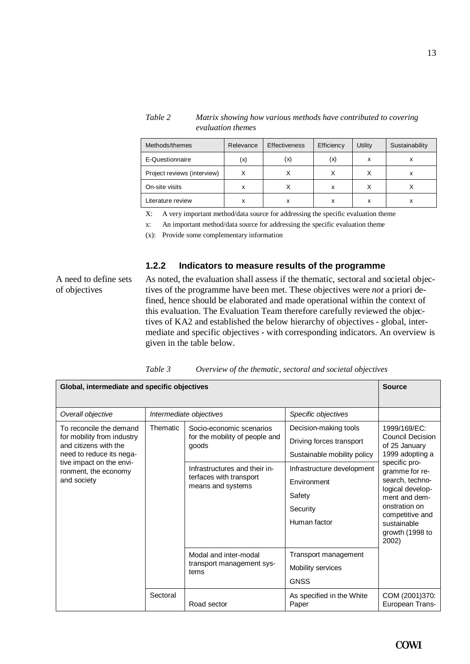| Methods/themes              | Relevance | <b>Effectiveness</b> | Efficiency | Utility | Sustainability |
|-----------------------------|-----------|----------------------|------------|---------|----------------|
| E-Questionnaire             | (x)       | (x)                  | (x)        | x       | х              |
| Project reviews (interview) |           |                      | Χ          |         | х              |
| On-site visits              | х         |                      | x          |         |                |
| Literature review           | х         | x                    | x          | x       | х              |

*Table 2 Matrix showing how various methods have contributed to covering evaluation themes*

X: A very important method/data source for addressing the specific evaluation theme

x: An important method/data source for addressing the specific evaluation theme

(x): Provide some complementary information

#### **1.2.2 Indicators to measure results of the programme**

A need to define sets of objectives

As noted, the evaluation shall assess if the thematic, sectoral and societal objectives of the programme have been met. These objectives were *not* a priori defined, hence should be elaborated and made operational within the context of this evaluation. The Evaluation Team therefore carefully reviewed the objectives of KA2 and established the below hierarchy of objectives - global, intermediate and specific objectives - with corresponding indicators. An overview is given in the table below.

| Global, intermediate and specific objectives                                                                                                                                  |          |                                                                                                                                                      |                                                                                                                                                                     | <b>Source</b>                                                                                                                                                                                                                                         |
|-------------------------------------------------------------------------------------------------------------------------------------------------------------------------------|----------|------------------------------------------------------------------------------------------------------------------------------------------------------|---------------------------------------------------------------------------------------------------------------------------------------------------------------------|-------------------------------------------------------------------------------------------------------------------------------------------------------------------------------------------------------------------------------------------------------|
| Overall objective                                                                                                                                                             |          | Intermediate objectives                                                                                                                              | Specific objectives                                                                                                                                                 |                                                                                                                                                                                                                                                       |
| To reconcile the demand<br>for mobility from industry<br>and citizens with the<br>need to reduce its nega-<br>tive impact on the envi-<br>ronment, the economy<br>and society | Thematic | Socio-economic scenarios<br>for the mobility of people and<br>goods<br>Infrastructures and their in-<br>terfaces with transport<br>means and systems | Decision-making tools<br>Driving forces transport<br>Sustainable mobility policy<br>Infrastructure development<br>Environment<br>Safety<br>Security<br>Human factor | 1999/169/EC:<br><b>Council Decision</b><br>of 25 January<br>1999 adopting a<br>specific pro-<br>gramme for re-<br>search, techno-<br>logical develop-<br>ment and dem-<br>onstration on<br>competitive and<br>sustainable<br>growth (1998 to<br>2002) |
|                                                                                                                                                                               |          | Modal and inter-modal<br>transport management sys-<br>tems                                                                                           | Transport management<br>Mobility services<br><b>GNSS</b>                                                                                                            |                                                                                                                                                                                                                                                       |
|                                                                                                                                                                               | Sectoral | Road sector                                                                                                                                          | As specified in the White<br>Paper                                                                                                                                  | COM (2001)370:<br>European Trans-                                                                                                                                                                                                                     |

*Table 3 Overview of the thematic, sectoral and societal objectives*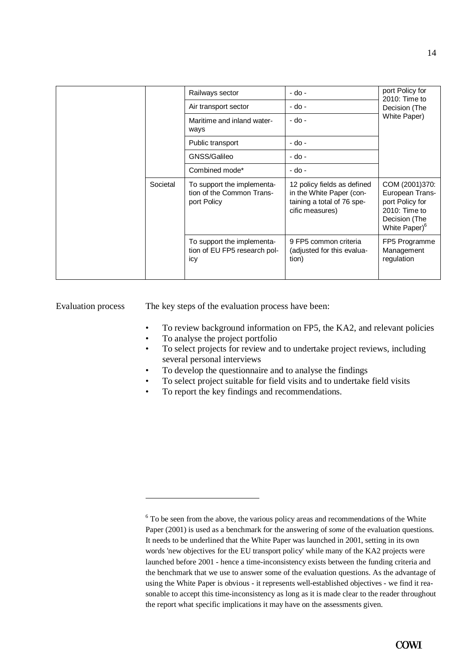|          | Railways sector                                                        | - do -                                                                                                   | port Policy for<br>2010: Time to<br>Decision (The<br>White Paper)                                                   |
|----------|------------------------------------------------------------------------|----------------------------------------------------------------------------------------------------------|---------------------------------------------------------------------------------------------------------------------|
|          | Air transport sector                                                   | - do -                                                                                                   |                                                                                                                     |
|          | Maritime and inland water-<br>ways                                     | - do -                                                                                                   |                                                                                                                     |
|          | Public transport                                                       | - do -                                                                                                   |                                                                                                                     |
|          | GNSS/Galileo                                                           | - do -                                                                                                   |                                                                                                                     |
|          | Combined mode*                                                         | - do -                                                                                                   |                                                                                                                     |
| Societal | To support the implementa-<br>tion of the Common Trans-<br>port Policy | 12 policy fields as defined<br>in the White Paper (con-<br>taining a total of 76 spe-<br>cific measures) | COM (2001)370:<br>European Trans-<br>port Policy for<br>2010: Time to<br>Decision (The<br>White Paper) <sup>6</sup> |
|          | To support the implementa-<br>tion of EU FP5 research pol-<br>icy      | 9 FP5 common criteria<br>(adjusted for this evalua-<br>tion)                                             | FP5 Programme<br>Management<br>regulation                                                                           |

Evaluation process

 $\overline{a}$ 

The key steps of the evaluation process have been:

- To review background information on FP5, the KA2, and relevant policies
- To analyse the project portfolio
- To select projects for review and to undertake project reviews, including several personal interviews
- To develop the questionnaire and to analyse the findings
- To select project suitable for field visits and to undertake field visits
- To report the key findings and recommendations.

 $6$  To be seen from the above, the various policy areas and recommendations of the White Paper (2001) is used as a benchmark for the answering of *some* of the evaluation questions. It needs to be underlined that the White Paper was launched in 2001, setting in its own words 'new objectives for the EU transport policy' while many of the KA2 projects were launched before 2001 - hence a time-inconsistency exists between the funding criteria and the benchmark that we use to answer some of the evaluation questions. As the advantage of using the White Paper is obvious - it represents well-established objectives - we find it reasonable to accept this time-inconsistency as long as it is made clear to the reader throughout the report what specific implications it may have on the assessments given.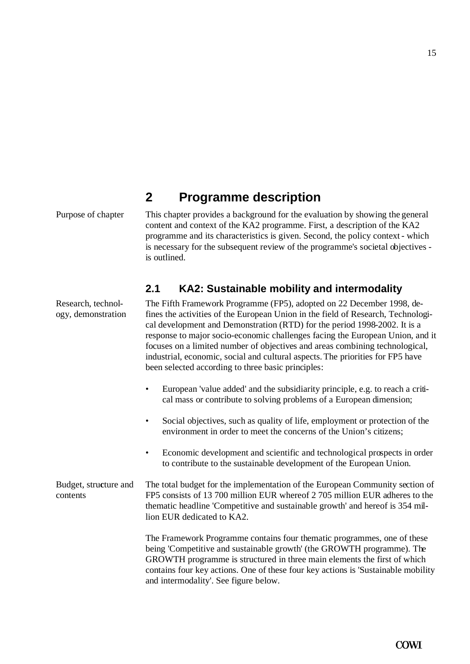#### 15

# **2 Programme description**

Purpose of chapter This chapter provides a background for the evaluation by showing the general content and context of the KA2 programme. First, a description of the KA2 programme and its characteristics is given. Second, the policy context - which is necessary for the subsequent review of the programme's societal objectives is outlined.

### **2.1 KA2: Sustainable mobility and intermodality**

Research, technology, demonstration The Fifth Framework Programme (FP5), adopted on 22 December 1998, defines the activities of the European Union in the field of Research, Technological development and Demonstration (RTD) for the period 1998-2002. It is a response to major socio-economic challenges facing the European Union, and it focuses on a limited number of objectives and areas combining technological, industrial, economic, social and cultural aspects. The priorities for FP5 have been selected according to three basic principles:

- European 'value added' and the subsidiarity principle, e.g. to reach a critical mass or contribute to solving problems of a European dimension;
- Social objectives, such as quality of life, employment or protection of the environment in order to meet the concerns of the Union's citizens;
- Economic development and scientific and technological prospects in order to contribute to the sustainable development of the European Union.

The total budget for the implementation of the European Community section of FP5 consists of 13 700 million EUR whereof 2 705 million EUR adheres to the thematic headline 'Competitive and sustainable growth' and hereof is 354 million EUR dedicated to KA2. Budget, stru**c**ture and contents

> The Framework Programme contains four thematic programmes, one of these being 'Competitive and sustainable growth' (the GROWTH programme). The GROWTH programme is structured in three main elements the first of which contains four key actions. One of these four key actions is 'Sustainable mobility and intermodality'. See figure below.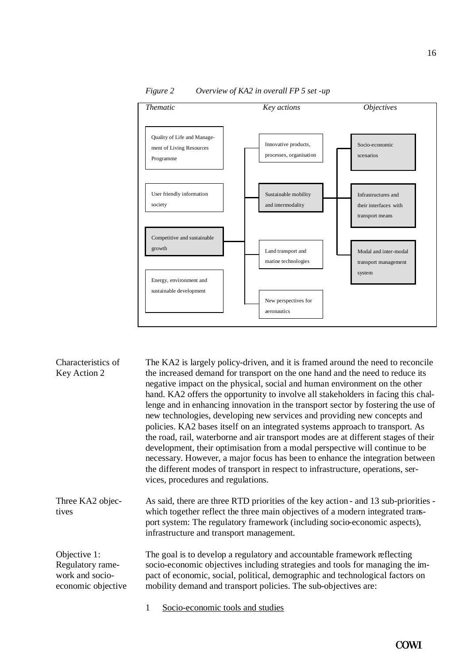

*Figure 2 Overview of KA2 in overall FP 5 set -up*

| Characteristics of<br>Key Action 2                                        | The KA2 is largely policy-driven, and it is framed around the need to reconcile<br>the increased demand for transport on the one hand and the need to reduce its<br>negative impact on the physical, social and human environment on the other<br>hand. KA2 offers the opportunity to involve all stakeholders in facing this chal-<br>lenge and in enhancing innovation in the transport sector by fostering the use of<br>new technologies, developing new services and providing new concepts and<br>policies. KA2 bases itself on an integrated systems approach to transport. As<br>the road, rail, waterborne and air transport modes are at different stages of their<br>development, their optimisation from a modal perspective will continue to be<br>necessary. However, a major focus has been to enhance the integration between<br>the different modes of transport in respect to infrastructure, operations, ser-<br>vices, procedures and regulations. |
|---------------------------------------------------------------------------|------------------------------------------------------------------------------------------------------------------------------------------------------------------------------------------------------------------------------------------------------------------------------------------------------------------------------------------------------------------------------------------------------------------------------------------------------------------------------------------------------------------------------------------------------------------------------------------------------------------------------------------------------------------------------------------------------------------------------------------------------------------------------------------------------------------------------------------------------------------------------------------------------------------------------------------------------------------------|
| Three KA2 objec-<br>tives                                                 | As said, there are three RTD priorities of the key action - and 13 sub-priorities -<br>which together reflect the three main objectives of a modern integrated trans-<br>port system: The regulatory framework (including socio-economic aspects),<br>infrastructure and transport management.                                                                                                                                                                                                                                                                                                                                                                                                                                                                                                                                                                                                                                                                         |
| Objective 1:<br>Regulatory rame-<br>work and socio-<br>economic objective | The goal is to develop a regulatory and accountable framework reflecting<br>socio-economic objectives including strategies and tools for managing the im-<br>pact of economic, social, political, demographic and technological factors on<br>mobility demand and transport policies. The sub-objectives are:                                                                                                                                                                                                                                                                                                                                                                                                                                                                                                                                                                                                                                                          |
|                                                                           | Socio-economic tools and studies<br>1                                                                                                                                                                                                                                                                                                                                                                                                                                                                                                                                                                                                                                                                                                                                                                                                                                                                                                                                  |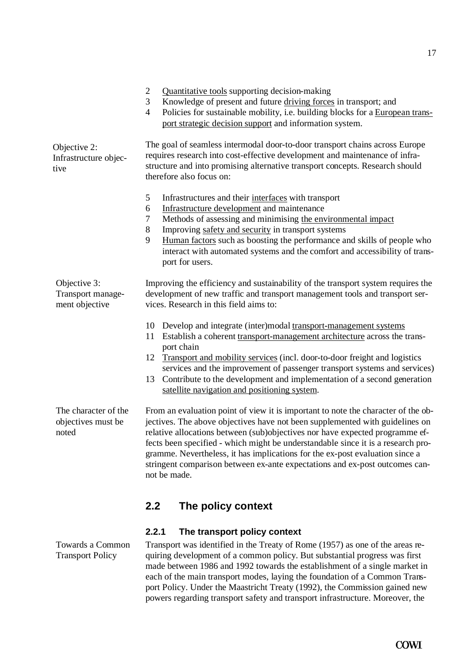quiring development of a common policy. But substantial progress was first made between 1986 and 1992 towards the establishment of a single market in each of the main transport modes, laying the foundation of a Common Transport Policy. Under the Maastricht Treaty (1992), the Commission gained new powers regarding transport safety and transport infrastructure. Moreover, the

Towards a Common Transport Policy

17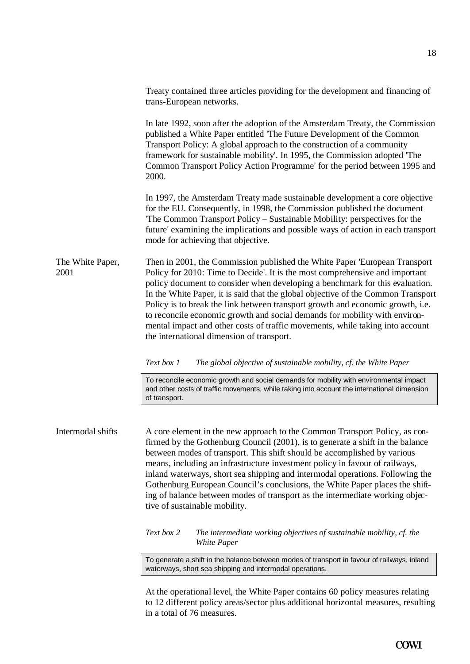Treaty contained three articles providing for the development and financing of trans-European networks. In late 1992, soon after the adoption of the Amsterdam Treaty, the Commission published a White Paper entitled 'The Future Development of the Common Transport Policy: A global approach to the construction of a community framework for sustainable mobility'. In 1995, the Commission adopted 'The Common Transport Policy Action Programme' for the period between 1995 and 2000. In 1997, the Amsterdam Treaty made sustainable development a core objective for the EU. Consequently, in 1998, the Commission published the document 'The Common Transport Policy – Sustainable Mobility: perspectives for the future' examining the implications and possible ways of action in each transport mode for achieving that objective. Then in 2001, the Commission published the White Paper 'European Transport Policy for 2010: Time to Decide'. It is the most comprehensive and important policy document to consider when developing a benchmark for this evaluation. In the White Paper, it is said that the global objective of the Common Transport Policy is to break the link between transport growth and economic growth, i.e. to reconcile economic growth and social demands for mobility with environmental impact and other costs of traffic movements, while taking into account the international dimension of transport. *Text box 1 The global objective of sustainable mobility, cf. the White Paper* To reconcile economic growth and social demands for mobility with environmental impact and other costs of traffic movements, while taking into account the international dimension of transport. A core element in the new approach to the Common Transport Policy, as confirmed by the Gothenburg Council (2001), is to generate a shift in the balance between modes of transport. This shift should be accomplished by various means, including an infrastructure investment policy in favour of railways, inland waterways, short sea shipping and intermodal operations. Following the Gothenburg European Council's conclusions, the White Paper places the shifting of balance between modes of transport as the intermediate working objective of sustainable mobility. *Text box 2 The intermediate working objectives of sustainable mobility, cf. the White Paper* To generate a shift in the balance between modes of transport in favour of railways, inland waterways, short sea shipping and intermodal operations. The White Paper, 2001 Intermodal shifts

> At the operational level, the White Paper contains 60 policy measures relating to 12 different policy areas/sector plus additional horizontal measures, resulting in a total of 76 measures.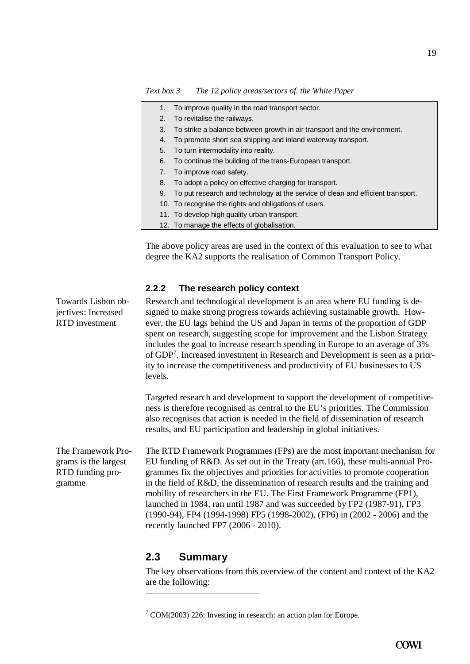*Text box 3 The 12 policy areas/sectors of. the White Paper*

| 1. | To improve quality in the road transport sector.                                |
|----|---------------------------------------------------------------------------------|
| 2. | To revitalise the railways.                                                     |
| 3. | To strike a balance between growth in air transport and the environment.        |
| 4. | To promote short sea shipping and inland waterway transport.                    |
| 5. | To turn intermodality into reality.                                             |
| 6. | To continue the building of the trans-European transport.                       |
| 7. | To improve road safety.                                                         |
| 8. | To adopt a policy on effective charging for transport.                          |
| 9. | To put research and technology at the service of clean and efficient transport. |
|    | 10. To recognise the rights and obligations of users.                           |
|    | 11. To develop high quality urban transport.                                    |
|    | 12. To manage the effects of globalisation.                                     |
|    |                                                                                 |

The above policy areas are used in the context of this evaluation to see to what degree the KA2 supports the realisation of Common Transport Policy.

#### **2.2.2 The research policy context**

Research and technological development is an area where EU funding is designed to make strong progress towards achieving sustainable growth. However, the EU lags behind the US and Japan in terms of the proportion of GDP spent on research, suggesting scope for improvement and the Lisbon Strategy includes the goal to increase research spending in Europe to an average of 3% of GDP<sup>7</sup>. Increased investment in Research and Development is seen as a priority to increase the competitiveness and productivity of EU businesses to US levels.

Targeted research and development to support the development of competitiveness is therefore recognised as central to the EU's priorities. The Commission also recognises that action is needed in the field of dissemination of research results, and EU participation and leadership in global initiatives.

The RTD Framework Programmes (FPs) are the most important mechanism for EU funding of R&D. As set out in the Treaty (art.166), these multi-annual Programmes fix the objectives and priorities for activities to promote cooperation in the field of R&D, the dissemination of research results and the training and mobility of researchers in the EU. The First Framework Programme (FP1), launched in 1984, ran until 1987 and was succeeded by FP2 (1987-91), FP3 (1990-94), FP4 (1994-1998) FP5 (1998-2002), (FP6) in (2002 - 2006) and the recently launched FP7 (2006 - 2010). The Framework Programs is the largest RTD funding programme

### **2.3 Summary**

The key observations from this overview of the content and context of the KA2 are the following:

Towards Lisbon objectives: Increased RTD investment

 $7$  COM(2003) 226: Investing in research: an action plan for Europe.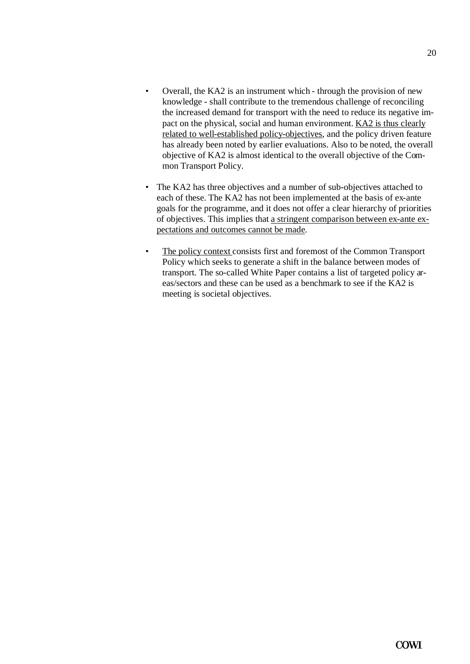- Overall, the KA2 is an instrument which through the provision of new knowledge - shall contribute to the tremendous challenge of reconciling the increased demand for transport with the need to reduce its negative impact on the physical, social and human environment. KA2 is thus clearly related to well-established policy-objectives, and the policy driven feature has already been noted by earlier evaluations. Also to be noted, the overall objective of KA2 is almost identical to the overall objective of the Common Transport Policy.
- The KA2 has three objectives and a number of sub-objectives attached to each of these. The KA2 has not been implemented at the basis of ex-ante goals for the programme, and it does not offer a clear hierarchy of priorities of objectives. This implies that a stringent comparison between ex-ante expectations and outcomes cannot be made.
- The policy context consists first and foremost of the Common Transport Policy which seeks to generate a shift in the balance between modes of transport. The so-called White Paper contains a list of targeted policy areas/sectors and these can be used as a benchmark to see if the KA2 is meeting is societal objectives.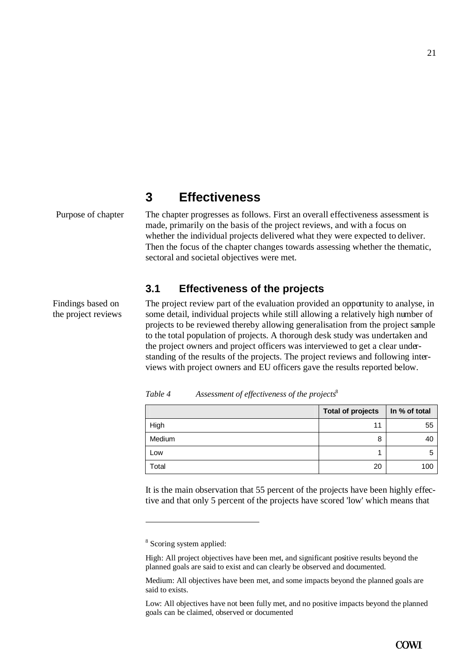# **3 Effectiveness**

Purpose of chapter The chapter progresses as follows. First an overall effectiveness assessment is made, primarily on the basis of the project reviews, and with a focus on whether the individual projects delivered what they were expected to deliver. Then the focus of the chapter changes towards assessing whether the thematic, sectoral and societal objectives were met.

## **3.1 Effectiveness of the projects**

Findings based on the project reviews The project review part of the evaluation provided an opportunity to analyse, in some detail, individual projects while still allowing a relatively high number of projects to be reviewed thereby allowing generalisation from the project sample to the total population of projects. A thorough desk study was undertaken and the project owners and project officers was interviewed to get a clear understanding of the results of the projects. The project reviews and following interviews with project owners and EU officers gave the results reported below.

|        | <b>Total of projects</b> | In % of total |
|--------|--------------------------|---------------|
| High   | 11                       | 55            |
| Medium | 8                        | 40            |
| Low    |                          | 5             |
| Total  | 20                       | 100           |

*Table 4 Assessment of effectiveness of the projects*<sup>8</sup>

It is the main observation that 55 percent of the projects have been highly effective and that only 5 percent of the projects have scored 'low' which means that

<sup>&</sup>lt;sup>8</sup> Scoring system applied:

High: All project objectives have been met, and significant positive results beyond the planned goals are said to exist and can clearly be observed and documented.

Medium: All objectives have been met, and some impacts beyond the planned goals are said to exists.

Low: All objectives have not been fully met, and no positive impacts beyond the planned goals can be claimed, observed or documented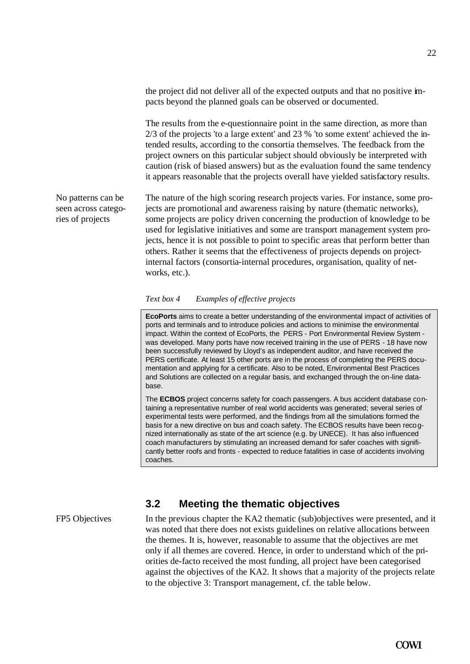the project did not deliver all of the expected outputs and that no positive impacts beyond the planned goals can be observed or documented.

The results from the e-questionnaire point in the same direction, as more than 2/3 of the projects 'to a large extent' and 23 % 'to some extent' achieved the intended results, according to the consortia themselves. The feedback from the project owners on this particular subject should obviously be interpreted with caution (risk of biased answers) but as the evaluation found the same tendency it appears reasonable that the projects overall have yielded satisfactory results.

No patterns can be seen across categories of projects

The nature of the high scoring research projects varies. For instance, some projects are promotional and awareness raising by nature (thematic networks), some projects are policy driven concerning the production of knowledge to be used for legislative initiatives and some are transport management system projects, hence it is not possible to point to specific areas that perform better than others. Rather it seems that the effectiveness of projects depends on projectinternal factors (consortia-internal procedures, organisation, quality of networks, etc.).

#### *Text box 4 Examples of effective projects*

**EcoPorts** aims to create a better understanding of the environmental impact of activities of ports and terminals and to introduce policies and actions to minimise the environmental impact. Within the context of EcoPorts, the PERS - Port Environmental Review System was developed. Many ports have now received training in the use of PERS - 18 have now been successfully reviewed by Lloyd's as independent auditor, and have received the PERS certificate. At least 15 other ports are in the process of completing the PERS documentation and applying for a certificate. Also to be noted, Environmental Best Practices and Solutions are collected on a regular basis, and exchanged through the on-line database.

The **ECBOS** project concerns safety for coach passengers. A bus accident database containing a representative number of real world accidents was generated; several series of experimental tests were performed, and the findings from all the simulations formed the basis for a new directive on bus and coach safety. The ECBOS results have been recognized internationally as state of the art science (e.g. by UNECE). It has also influenced coach manufacturers by stimulating an increased demand for safer coaches with significantly better roofs and fronts - expected to reduce fatalities in case of accidents involving coaches.

### **3.2 Meeting the thematic objectives**

FP5 Objectives

In the previous chapter the KA2 thematic (sub)objectives were presented, and it was noted that there does not exists guidelines on relative allocations between the themes. It is, however, reasonable to assume that the objectives are met only if all themes are covered. Hence, in order to understand which of the priorities de-facto received the most funding, all project have been categorised against the objectives of the KA2. It shows that a majority of the projects relate to the objective 3: Transport management, cf. the table below.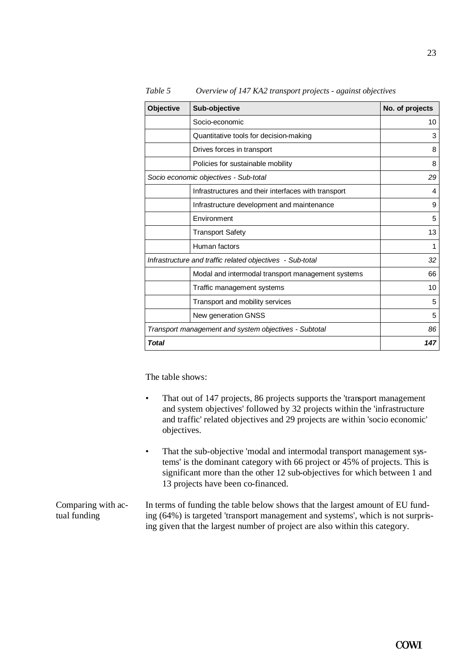| <b>Objective</b> | Sub-objective                                             | No. of projects |
|------------------|-----------------------------------------------------------|-----------------|
|                  | Socio-economic                                            | 10              |
|                  | Quantitative tools for decision-making                    | 3               |
|                  | Drives forces in transport                                | 8               |
|                  | Policies for sustainable mobility                         | 8               |
|                  | Socio economic objectives - Sub-total                     | 29              |
|                  | Infrastructures and their interfaces with transport       | 4               |
|                  | Infrastructure development and maintenance                | 9               |
|                  | Environment                                               | 5               |
|                  | <b>Transport Safety</b>                                   | 13              |
|                  | Human factors                                             | 1               |
|                  | Infrastructure and traffic related objectives - Sub-total | 32              |
|                  | Modal and intermodal transport management systems         | 66              |
|                  | Traffic management systems                                | 10              |
|                  | Transport and mobility services                           | 5               |
|                  | New generation GNSS                                       | 5               |
|                  | Transport management and system objectives - Subtotal     | 86              |
| <b>Total</b>     |                                                           | 147             |

*Table 5 Overview of 147 KA2 transport projects - against objectives*

The table shows:

- That out of 147 projects, 86 projects supports the 'transport management and system objectives' followed by 32 projects within the 'infrastructure and traffic' related objectives and 29 projects are within 'socio economic' objectives.
- That the sub-objective 'modal and intermodal transport management systems' is the dominant category with 66 project or 45% of projects. This is significant more than the other 12 sub-objectives for which between 1 and 13 projects have been co-financed.
- In terms of funding the table below shows that the largest amount of EU funding (64%) is targeted 'transport management and systems', which is not surprising given that the largest number of project are also within this category. Comparing with actual funding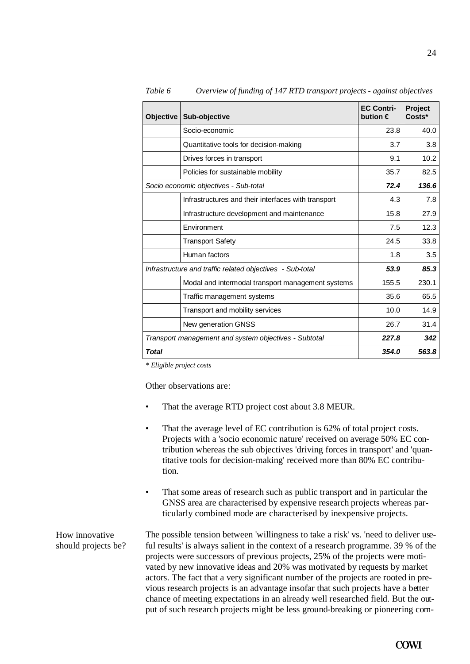| <b>Objective</b> | Sub-objective                                             | <b>EC Contri-</b><br>bution $\in$ | <b>Project</b><br>Costs* |
|------------------|-----------------------------------------------------------|-----------------------------------|--------------------------|
|                  | Socio-economic                                            | 23.8                              | 40.0                     |
|                  | Quantitative tools for decision-making                    | 3.7                               | 3.8                      |
|                  | Drives forces in transport                                | 9.1                               | 10.2                     |
|                  | Policies for sustainable mobility                         | 35.7                              | 82.5                     |
|                  | Socio economic objectives - Sub-total                     | 72.4                              | 136.6                    |
|                  | Infrastructures and their interfaces with transport       | 4.3                               | 7.8                      |
|                  | Infrastructure development and maintenance                | 15.8                              | 27.9                     |
|                  | Environment                                               | 7.5                               | 12.3                     |
|                  | <b>Transport Safety</b>                                   | 24.5                              | 33.8                     |
|                  | Human factors                                             | 1.8                               | 3.5                      |
|                  | Infrastructure and traffic related objectives - Sub-total | 53.9                              | 85.3                     |
|                  | Modal and intermodal transport management systems         | 155.5                             | 230.1                    |
|                  | Traffic management systems                                | 35.6                              | 65.5                     |
|                  | Transport and mobility services                           | 10.0                              | 14.9                     |
|                  | New generation GNSS                                       | 26.7                              | 31.4                     |
|                  | Transport management and system objectives - Subtotal     | 227.8                             | 342                      |
| <b>Total</b>     |                                                           | 354.0                             | 563.8                    |

*Table 6 Overview of funding of 147 RTD transport projects - against objectives*

*\* Eligible project costs*

Other observations are:

- That the average RTD project cost about 3.8 MEUR.
- That the average level of EC contribution is 62% of total project costs. Projects with a 'socio economic nature' received on average 50% EC contribution whereas the sub objectives 'driving forces in transport' and 'quantitative tools for decision-making' received more than 80% EC contribution.
- That some areas of research such as public transport and in particular the GNSS area are characterised by expensive research projects whereas particularly combined mode are characterised by inexpensive projects.

The possible tension between 'willingness to take a risk' vs. 'need to deliver useful results' is always salient in the context of a research programme. 39 % of the projects were successors of previous projects, 25% of the projects were motivated by new innovative ideas and 20% was motivated by requests by market actors. The fact that a very significant number of the projects are rooted in previous research projects is an advantage insofar that such projects have a better chance of meeting expectations in an already well researched field. But the output of such research projects might be less ground-breaking or pioneering com-How innovative should projects be?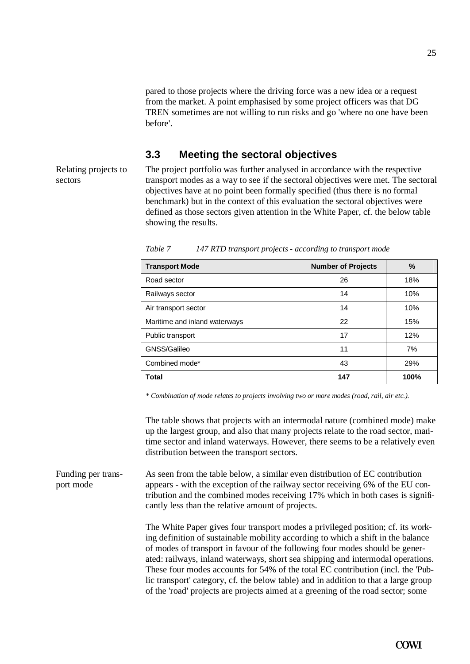25

pared to those projects where the driving force was a new idea or a request from the market. A point emphasised by some project officers was that DG TREN sometimes are not willing to run risks and go 'where no one have been before'.

### **3.3 Meeting the sectoral objectives**

Relating projects to sectors

The project portfolio was further analysed in accordance with the respective transport modes as a way to see if the sectoral objectives were met. The sectoral objectives have at no point been formally specified (thus there is no formal benchmark) but in the context of this evaluation the sectoral objectives were defined as those sectors given attention in the White Paper, cf. the below table showing the results.

| <b>Transport Mode</b>         | <b>Number of Projects</b> | $\frac{9}{6}$ |
|-------------------------------|---------------------------|---------------|
| Road sector                   | 26                        | 18%           |
| Railways sector               | 14                        | 10%           |
| Air transport sector          | 14                        | 10%           |
| Maritime and inland waterways | 22                        | 15%           |
| Public transport              | 17                        | 12%           |
| GNSS/Galileo                  | 11                        | 7%            |
| Combined mode*                | 43                        | 29%           |
| <b>Total</b>                  | 147                       | 100%          |

*Table 7 147 RTD transport projects - according to transport mode*

*\* Combination of mode relates to projects involving two or more modes (road, rail, air etc.).*

The table shows that projects with an intermodal nature (combined mode) make up the largest group, and also that many projects relate to the road sector, maritime sector and inland waterways. However, there seems to be a relatively even distribution between the transport sectors.

As seen from the table below, a similar even distribution of EC contribution appears - with the exception of the railway sector receiving 6% of the EU contribution and the combined modes receiving 17% which in both cases is significantly less than the relative amount of projects. Funding per transport mode

> The White Paper gives four transport modes a privileged position; cf. its working definition of sustainable mobility according to which a shift in the balance of modes of transport in favour of the following four modes should be generated: railways, inland waterways, short sea shipping and intermodal operations. These four modes accounts for 54% of the total EC contribution (incl. the 'Public transport' category, cf. the below table) and in addition to that a large group of the 'road' projects are projects aimed at a greening of the road sector; some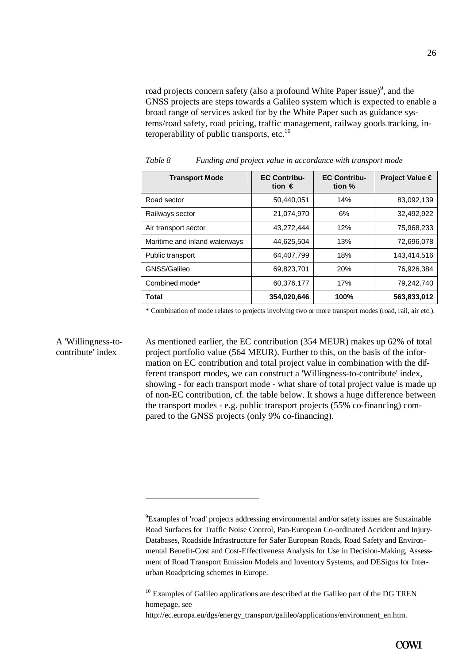road projects concern safety (also a profound White Paper issue)<sup>9</sup>, and the GNSS projects are steps towards a Galileo system which is expected to enable a broad range of services asked for by the White Paper such as guidance systems/road safety, road pricing, traffic management, railway goods tracking, interoperability of public transports, etc. $^{10}$ 

| <b>Transport Mode</b>         | <b>EC Contribu-</b><br>tion $\epsilon$ | <b>EC Contribu-</b><br>tion % | Project Value € |
|-------------------------------|----------------------------------------|-------------------------------|-----------------|
| Road sector                   | 50,440,051                             | 14%                           | 83,092,139      |
| Railways sector               | 21,074,970                             | 6%                            | 32,492,922      |
| Air transport sector          | 43,272,444                             | 12%                           | 75,968,233      |
| Maritime and inland waterways | 44,625,504                             | 13%                           | 72,696,078      |
| Public transport              | 64,407,799                             | 18%                           | 143,414,516     |
| GNSS/Galileo                  | 69,823,701                             | <b>20%</b>                    | 76,926,384      |
| Combined mode*                | 60,376,177                             | 17%                           | 79,242,740      |
| <b>Total</b>                  | 354,020,646                            | 100%                          | 563,833,012     |

*Table 8 Funding and project value in accordance with transport mode*

\* Combination of mode relates to projects involving two or more transport modes (road, rail, air etc.).

#### A 'Willingness-tocontribute' index

 $\overline{a}$ 

As mentioned earlier, the EC contribution (354 MEUR) makes up 62% of total project portfolio value (564 MEUR). Further to this, on the basis of the information on EC contribution and total project value in combination with the different transport modes, we can construct a 'Willingness-to-contribute' index, showing - for each transport mode - what share of total project value is made up of non-EC contribution, cf. the table below. It shows a huge difference between the transport modes - e.g. public transport projects (55% co-financing) compared to the GNSS projects (only 9% co-financing).

<sup>9</sup>Examples of 'road' projects addressing environmental and/or safety issues are Sustainable Road Surfaces for Traffic Noise Control, Pan-European Co-ordinated Accident and Injury-Databases, Roadside Infrastructure for Safer European Roads, Road Safety and Environmental Benefit-Cost and Cost-Effectiveness Analysis for Use in Decision-Making, Assessment of Road Transport Emission Models and Inventory Systems, and DESigns for Interurban Roadpricing schemes in Europe.

<sup>&</sup>lt;sup>10</sup> Examples of Galileo applications are described at the Galileo part of the DG TREN homepage, see

http://ec.europa.eu/dgs/energy\_transport/galileo/applications/environment\_en.htm.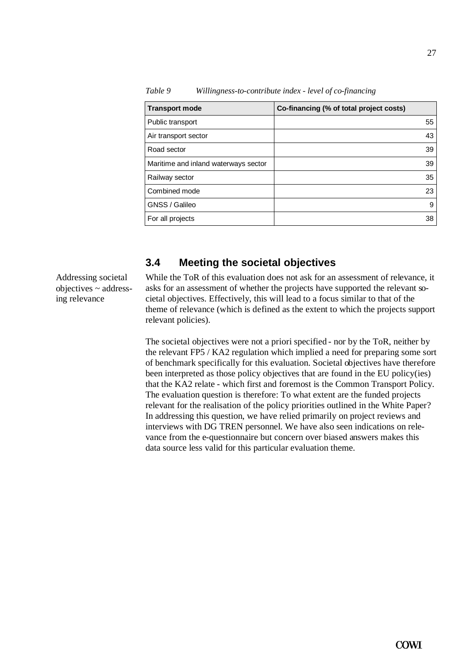| <b>Transport mode</b>                | Co-financing (% of total project costs) |
|--------------------------------------|-----------------------------------------|
| Public transport                     | 55                                      |
| Air transport sector                 | 43                                      |
| Road sector                          | 39                                      |
| Maritime and inland waterways sector | 39                                      |
| Railway sector                       | 35                                      |
| Combined mode                        | 23                                      |
| GNSS / Galileo                       | 9                                       |
| For all projects                     | 38                                      |

*Table 9 Willingness-to-contribute index - level of co-financing*

### **3.4 Meeting the societal objectives**

Addressing societal objectives ~ addressing relevance

While the ToR of this evaluation does not ask for an assessment of relevance, it asks for an assessment of whether the projects have supported the relevant societal objectives. Effectively, this will lead to a focus similar to that of the theme of relevance (which is defined as the extent to which the projects support relevant policies).

The societal objectives were not a priori specified - nor by the ToR, neither by the relevant FP5 / KA2 regulation which implied a need for preparing some sort of benchmark specifically for this evaluation. Societal objectives have therefore been interpreted as those policy objectives that are found in the EU policy(ies) that the KA2 relate - which first and foremost is the Common Transport Policy. The evaluation question is therefore: To what extent are the funded projects relevant for the realisation of the policy priorities outlined in the White Paper? In addressing this question, we have relied primarily on project reviews and interviews with DG TREN personnel. We have also seen indications on relevance from the e-questionnaire but concern over biased answers makes this data source less valid for this particular evaluation theme.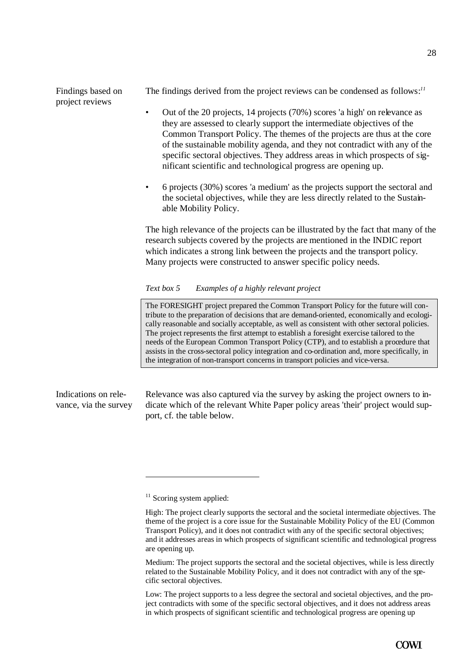Findings based on project reviews

The findings derived from the project reviews can be condensed as follows:*<sup>11</sup>*

- Out of the 20 projects, 14 projects (70%) scores 'a high' on relevance as they are assessed to clearly support the intermediate objectives of the Common Transport Policy. The themes of the projects are thus at the core of the sustainable mobility agenda, and they not contradict with any of the specific sectoral objectives. They address areas in which prospects of significant scientific and technological progress are opening up.
- 6 projects (30%) scores 'a medium' as the projects support the sectoral and the societal objectives, while they are less directly related to the Sustainable Mobility Policy.

The high relevance of the projects can be illustrated by the fact that many of the research subjects covered by the projects are mentioned in the INDIC report which indicates a strong link between the projects and the transport policy. Many projects were constructed to answer specific policy needs.

#### *Text box 5 Examples of a highly relevant project*

The FORESIGHT project prepared the Common Transport Policy for the future will contribute to the preparation of decisions that are demand-oriented, economically and ecologically reasonable and socially acceptable, as well as consistent with other sectoral policies. The project represents the first attempt to establish a foresight exercise tailored to the needs of the European Common Transport Policy (CTP), and to establish a procedure that assists in the cross-sectoral policy integration and co-ordination and, more specifically, in the integration of non-transport concerns in transport policies and vice-versa.

Indications on relevance, via the survey Relevance was also captured via the survey by asking the project owners to indicate which of the relevant White Paper policy areas 'their' project would support, cf. the table below.

Medium: The project supports the sectoral and the societal objectives, while is less directly related to the Sustainable Mobility Policy, and it does not contradict with any of the specific sectoral objectives.

Low: The project supports to a less degree the sectoral and societal objectives, and the project contradicts with some of the specific sectoral objectives, and it does not address areas in which prospects of significant scientific and technological progress are opening up

 $11$  Scoring system applied:

High: The project clearly supports the sectoral and the societal intermediate objectives. The theme of the project is a core issue for the Sustainable Mobility Policy of the EU (Common Transport Policy), and it does not contradict with any of the specific sectoral objectives; and it addresses areas in which prospects of significant scientific and technological progress are opening up.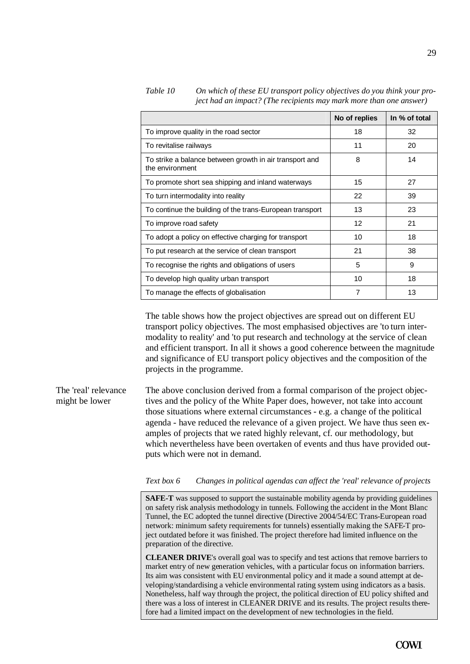|                                                                            | No of replies | In % of total |
|----------------------------------------------------------------------------|---------------|---------------|
| To improve quality in the road sector                                      | 18            | 32            |
| To revitalise railways                                                     | 11            | 20            |
| To strike a balance between growth in air transport and<br>the environment | 8             | 14            |
| To promote short sea shipping and inland waterways                         | 15            | 27            |
| To turn intermodality into reality                                         | 22            | 39            |
| To continue the building of the trans-European transport                   | 13            | 23            |
| To improve road safety                                                     | 12            | 21            |
| To adopt a policy on effective charging for transport                      | 10            | 18            |
| To put research at the service of clean transport                          | 21            | 38            |
| To recognise the rights and obligations of users                           | 5             | 9             |
| To develop high quality urban transport                                    | 10            | 18            |
| To manage the effects of globalisation                                     | 7             | 13            |

*Table 10 On which of these EU transport policy objectives do you think your project had an impact? (The recipients may mark more than one answer)*

The table shows how the project objectives are spread out on different EU transport policy objectives. The most emphasised objectives are 'to turn intermodality to reality' and 'to put research and technology at the service of clean and efficient transport. In all it shows a good coherence between the magnitude and significance of EU transport policy objectives and the composition of the projects in the programme.

The above conclusion derived from a formal comparison of the project objectives and the policy of the White Paper does, however, not take into account those situations where external circumstances - e.g. a change of the political agenda - have reduced the relevance of a given project. We have thus seen examples of projects that we rated highly relevant, cf. our methodology, but which nevertheless have been overtaken of events and thus have provided outputs which were not in demand. The 'real' relevance might be lower

#### *Text box 6 Changes in political agendas can affect the 'real' relevance of projects*

**SAFE-T** was supposed to support the sustainable mobility agenda by providing guidelines on safety risk analysis methodology in tunnels. Following the accident in the Mont Blanc Tunnel, the EC adopted the tunnel directive (Directive 2004/54/EC Trans-European road network: minimum safety requirements for tunnels) essentially making the SAFE-T project outdated before it was finished. The project therefore had limited influence on the preparation of the directive.

**CLEANER DRIVE**'s overall goal was to specify and test actions that remove barriers to market entry of new generation vehicles, with a particular focus on information barriers. Its aim was consistent with EU environmental policy and it made a sound attempt at developing/standardising a vehicle environmental rating system using indicators as a basis. Nonetheless, half way through the project, the political direction of EU policy shifted and there was a loss of interest in CLEANER DRIVE and its results. The project results therefore had a limited impact on the development of new technologies in the field.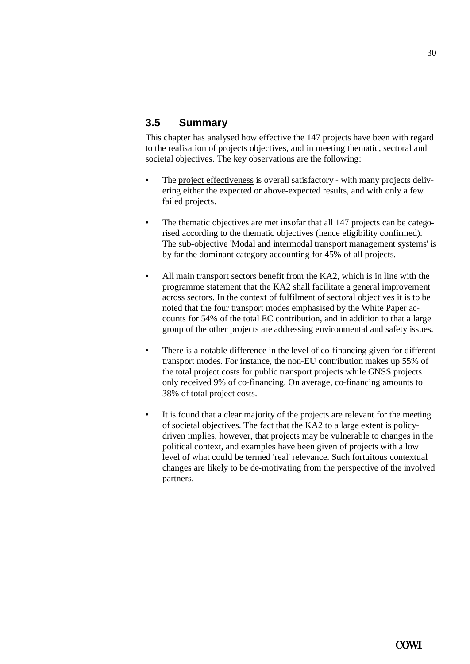# **3.5 Summary**

This chapter has analysed how effective the 147 projects have been with regard to the realisation of projects objectives, and in meeting thematic, sectoral and societal objectives. The key observations are the following:

- The project effectiveness is overall satisfactory with many projects delivering either the expected or above-expected results, and with only a few failed projects.
- The thematic objectives are met insofar that all 147 projects can be categorised according to the thematic objectives (hence eligibility confirmed). The sub-objective 'Modal and intermodal transport management systems' is by far the dominant category accounting for 45% of all projects.
- All main transport sectors benefit from the KA2, which is in line with the programme statement that the KA2 shall facilitate a general improvement across sectors. In the context of fulfilment of sectoral objectives it is to be noted that the four transport modes emphasised by the White Paper accounts for 54% of the total EC contribution, and in addition to that a large group of the other projects are addressing environmental and safety issues.
- There is a notable difference in the <u>level of co-financing</u> given for different transport modes. For instance, the non-EU contribution makes up 55% of the total project costs for public transport projects while GNSS projects only received 9% of co-financing. On average, co-financing amounts to 38% of total project costs.
- It is found that a clear majority of the projects are relevant for the meeting of societal objectives. The fact that the KA2 to a large extent is policydriven implies, however, that projects may be vulnerable to changes in the political context, and examples have been given of projects with a low level of what could be termed 'real' relevance. Such fortuitous contextual changes are likely to be de-motivating from the perspective of the involved partners.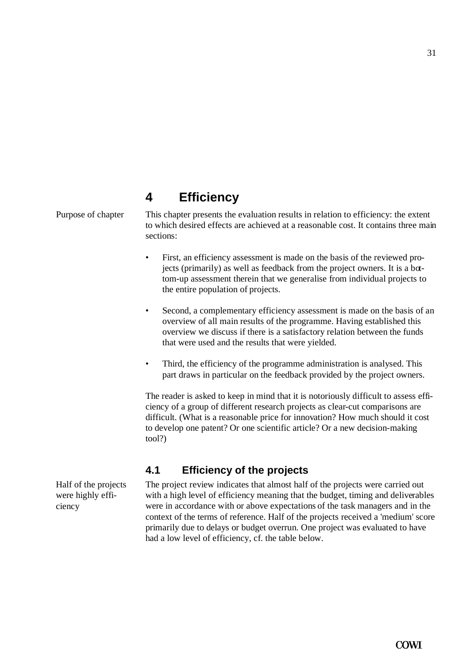# **4 Efficiency**

Purpose of chapter This chapter presents the evaluation results in relation to efficiency: the extent to which desired effects are achieved at a reasonable cost. It contains three main sections:

- First, an efficiency assessment is made on the basis of the reviewed projects (primarily) as well as feedback from the project owners. It is a bottom-up assessment therein that we generalise from individual projects to the entire population of projects.
- Second, a complementary efficiency assessment is made on the basis of an overview of all main results of the programme. Having established this overview we discuss if there is a satisfactory relation between the funds that were used and the results that were yielded.
- Third, the efficiency of the programme administration is analysed. This part draws in particular on the feedback provided by the project owners.

The reader is asked to keep in mind that it is notoriously difficult to assess efficiency of a group of different research projects as clear-cut comparisons are difficult. (What is a reasonable price for innovation? How much should it cost to develop one patent? Or one scientific article? Or a new decision-making tool?)

# **4.1 Efficiency of the projects**

The project review indicates that almost half of the projects were carried out with a high level of efficiency meaning that the budget, timing and deliverables were in accordance with or above expectations of the task managers and in the context of the terms of reference. Half of the projects received a 'medium' score primarily due to delays or budget overrun. One project was evaluated to have had a low level of efficiency, cf. the table below.

Half of the projects were highly efficiency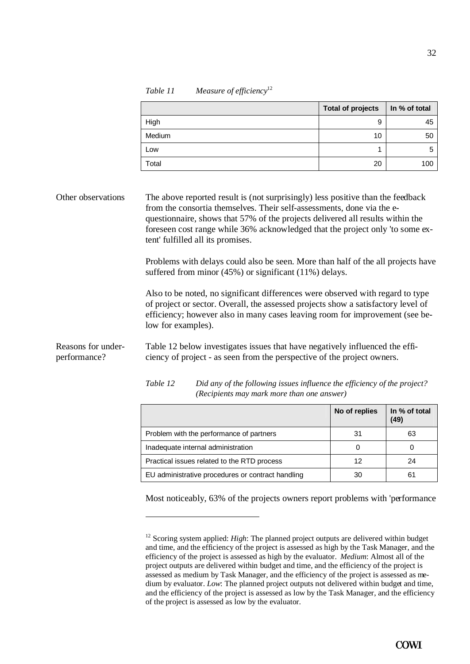*Table 11 Measure of efficiency*<sup>12</sup>

|                                    |                    |                                                                                                                                                                                                                                                                                                                                                                                                                                                                                                                       | <b>Total of projects</b> | In % of total         |
|------------------------------------|--------------------|-----------------------------------------------------------------------------------------------------------------------------------------------------------------------------------------------------------------------------------------------------------------------------------------------------------------------------------------------------------------------------------------------------------------------------------------------------------------------------------------------------------------------|--------------------------|-----------------------|
|                                    | High               |                                                                                                                                                                                                                                                                                                                                                                                                                                                                                                                       | 9                        | 45                    |
|                                    | Medium             |                                                                                                                                                                                                                                                                                                                                                                                                                                                                                                                       | 10                       | 50                    |
|                                    | Low                |                                                                                                                                                                                                                                                                                                                                                                                                                                                                                                                       | 1                        | 5                     |
|                                    | Total              |                                                                                                                                                                                                                                                                                                                                                                                                                                                                                                                       | 20                       | 100                   |
| Other observations                 |                    | The above reported result is (not surprisingly) less positive than the feedback<br>from the consortia themselves. Their self-assessments, done via the e-<br>questionnaire, shows that 57% of the projects delivered all results within the<br>foreseen cost range while 36% acknowledged that the project only 'to some ex-<br>tent' fulfilled all its promises.<br>Problems with delays could also be seen. More than half of the all projects have<br>suffered from minor $(45\%)$ or significant $(11\%)$ delays. |                          |                       |
|                                    | low for examples). | Also to be noted, no significant differences were observed with regard to type<br>of project or sector. Overall, the assessed projects show a satisfactory level of<br>efficiency; however also in many cases leaving room for improvement (see be-                                                                                                                                                                                                                                                                   |                          |                       |
| Reasons for under-<br>performance? |                    | Table 12 below investigates issues that have negatively influenced the effi-<br>ciency of project - as seen from the perspective of the project owners.                                                                                                                                                                                                                                                                                                                                                               |                          |                       |
|                                    | Table 12           | Did any of the following issues influence the efficiency of the project?<br>(Recipients may mark more than one answer)                                                                                                                                                                                                                                                                                                                                                                                                |                          |                       |
|                                    |                    |                                                                                                                                                                                                                                                                                                                                                                                                                                                                                                                       | No of replies            | In % of total<br>(49) |
|                                    |                    | Problem with the performance of partners                                                                                                                                                                                                                                                                                                                                                                                                                                                                              | 31                       | 63                    |

Most noticeably, 63% of the projects owners report problems with 'performance

Inadequate internal administration  $\begin{vmatrix} 0 & 0 \\ 0 & 0 \end{vmatrix}$  0 Practical issues related to the RTD process 12 12 12 24 EU administrative procedures or contract handling  $\vert$  30  $\vert$  61

<sup>&</sup>lt;sup>12</sup> Scoring system applied: *High*: The planned project outputs are delivered within budget and time, and the efficiency of the project is assessed as high by the Task Manager, and the efficiency of the project is assessed as high by the evaluator. *Medium*: Almost all of the project outputs are delivered within budget and time, and the efficiency of the project is assessed as medium by Task Manager, and the efficiency of the project is assessed as medium by evaluator. *Low*: The planned project outputs not delivered within budget and time, and the efficiency of the project is assessed as low by the Task Manager, and the efficiency of the project is assessed as low by the evaluator.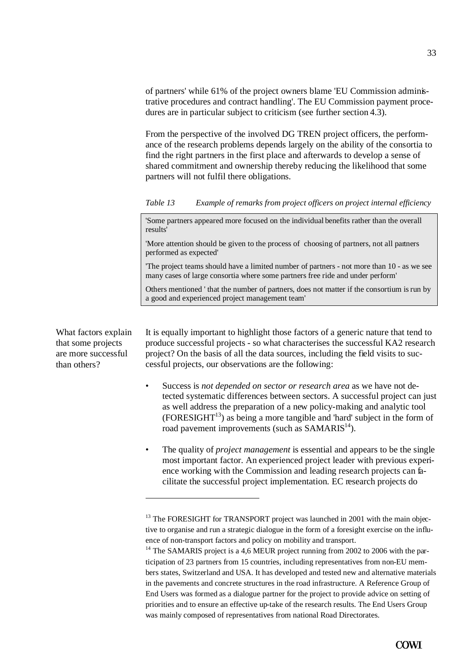of partners' while 61% of the project owners blame 'EU Commission administrative procedures and contract handling'. The EU Commission payment procedures are in particular subject to criticism (see further section 4.3).

From the perspective of the involved DG TREN project officers, the performance of the research problems depends largely on the ability of the consortia to find the right partners in the first place and afterwards to develop a sense of shared commitment and ownership thereby reducing the likelihood that some partners will not fulfil there obligations.

*Table 13 Example of remarks from project officers on project internal efficiency*

'Some partners appeared more focused on the individual benefits rather than the overall results'

'More attention should be given to the process of choosing of partners, not all partners performed as expected'

'The project teams should have a limited number of partners - not more than 10 - as we see many cases of large consortia where some partners free ride and under perform'

Others mentioned ' that the number of partners, does not matter if the consortium is run by a good and experienced project management team'

What factors explain that some projects are more successful than others?

 $\overline{a}$ 

It is equally important to highlight those factors of a generic nature that tend to produce successful projects - so what characterises the successful KA2 research project? On the basis of all the data sources, including the field visits to successful projects, our observations are the following:

- Success is *not depended on sector or research area* as we have not detected systematic differences between sectors. A successful project can just as well address the preparation of a new policy-making and analytic tool  $(FORESIGHT<sup>13</sup>)$  as being a more tangible and 'hard' subject in the form of road pavement improvements (such as  $SAMARIS<sup>14</sup>$ ).
- The quality of *project management* is essential and appears to be the single most important factor. An experienced project leader with previous experience working with the Commission and leading research projects can facilitate the successful project implementation. EC research projects do

 $13$  The FORESIGHT for TRANSPORT project was launched in 2001 with the main objective to organise and run a strategic dialogue in the form of a foresight exercise on the influence of non-transport factors and policy on mobility and transport.

 $14$  The SAMARIS project is a 4,6 MEUR project running from 2002 to 2006 with the participation of 23 partners from 15 countries, including representatives from non-EU members states, Switzerland and USA. It has developed and tested new and alternative materials in the pavements and concrete structures in the road infrastructure. A Reference Group of End Users was formed as a dialogue partner for the project to provide advice on setting of priorities and to ensure an effective up-take of the research results. The End Users Group was mainly composed of representatives from national Road Directorates.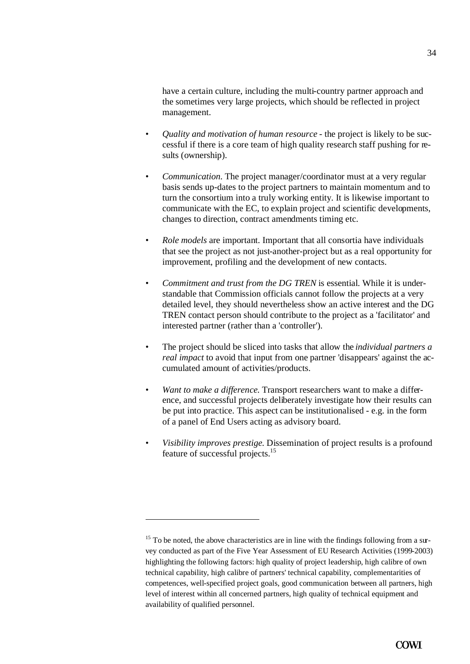have a certain culture, including the multi-country partner approach and the sometimes very large projects, which should be reflected in project management.

- *Quality and motivation of human resource* the project is likely to be successful if there is a core team of high quality research staff pushing for results (ownership).
- *Communication*. The project manager/coordinator must at a very regular basis sends up-dates to the project partners to maintain momentum and to turn the consortium into a truly working entity. It is likewise important to communicate with the EC, to explain project and scientific developments, changes to direction, contract amendments timing etc.
- *Role models* are important. Important that all consortia have individuals that see the project as not just-another-project but as a real opportunity for improvement, profiling and the development of new contacts.
- *Commitment and trust from the DG TREN* is essential. While it is understandable that Commission officials cannot follow the projects at a very detailed level, they should nevertheless show an active interest and the DG TREN contact person should contribute to the project as a 'facilitator' and interested partner (rather than a 'controller').
- The project should be sliced into tasks that allow the *individual partners a real impact* to avoid that input from one partner 'disappears' against the accumulated amount of activities/products.
- *Want to make a difference.* Transport researchers want to make a difference, and successful projects deliberately investigate how their results can be put into practice. This aspect can be institutionalised - e.g. in the form of a panel of End Users acting as advisory board.
- *Visibility improves prestige*. Dissemination of project results is a profound feature of successful projects.<sup>15</sup>

 $15$  To be noted, the above characteristics are in line with the findings following from a survey conducted as part of the Five Year Assessment of EU Research Activities (1999-2003) highlighting the following factors: high quality of project leadership, high calibre of own technical capability, high calibre of partners' technical capability, complementarities of competences, well-specified project goals, good communication between all partners, high level of interest within all concerned partners, high quality of technical equipment and availability of qualified personnel.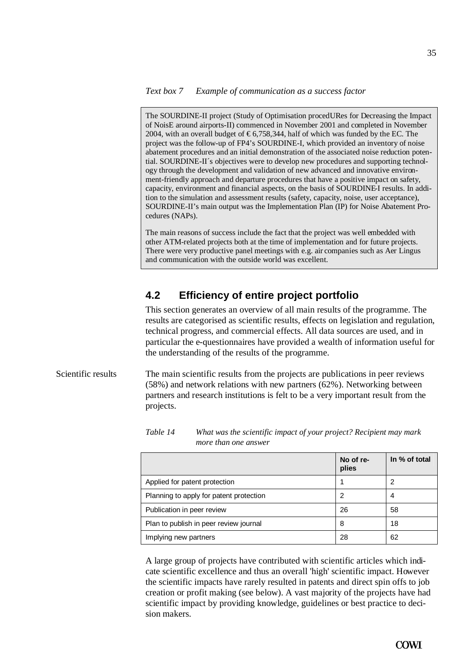The SOURDINE-II project (Study of Optimisation procedURes for Decreasing the Impact of NoisE around airports-II) commenced in November 2001 and completed in November 2004, with an overall budget of  $\text{\textsterling}6,758,344$ , half of which was funded by the EC. The project was the follow-up of FP4's SOURDINE-I, which provided an inventory of noise abatement procedures and an initial demonstration of the associated noise reduction potential. SOURDINE-II´s objectives were to develop new procedures and supporting technology through the development and validation of new advanced and innovative environment-friendly approach and departure procedures that have a positive impact on safety, capacity, environment and financial aspects, on the basis of SOURDINE-I results. In addition to the simulation and assessment results (safety, capacity, noise, user acceptance), SOURDINE-II's main output was the Implementation Plan (IP) for Noise Abatement Procedures (NAPs).

The main reasons of success include the fact that the project was well embedded with other ATM-related projects both at the time of implementation and for future projects. There were very productive panel meetings with e.g. air companies such as Aer Lingus and communication with the outside world was excellent.

### **4.2 Efficiency of entire project portfolio**

This section generates an overview of all main results of the programme. The results are categorised as scientific results, effects on legislation and regulation, technical progress, and commercial effects. All data sources are used, and in particular the e-questionnaires have provided a wealth of information useful for the understanding of the results of the programme.

Scientific results The main scientific results from the projects are publications in peer reviews (58%) and network relations with new partners (62%). Networking between partners and research institutions is felt to be a very important result from the projects.

|                                         | No of re-<br>plies | In % of total |
|-----------------------------------------|--------------------|---------------|
| Applied for patent protection           |                    | 2             |
| Planning to apply for patent protection | 2                  | 4             |
| Publication in peer review              | 26                 | 58            |
| Plan to publish in peer review journal  | 8                  | 18            |
| Implying new partners                   | 28                 | 62            |

| Table 14 | What was the scientific impact of your project? Recipient may mark |
|----------|--------------------------------------------------------------------|
|          | more than one answer                                               |

A large group of projects have contributed with scientific articles which indicate scientific excellence and thus an overall 'high' scientific impact. However the scientific impacts have rarely resulted in patents and direct spin offs to job creation or profit making (see below). A vast majority of the projects have had scientific impact by providing knowledge, guidelines or best practice to decision makers.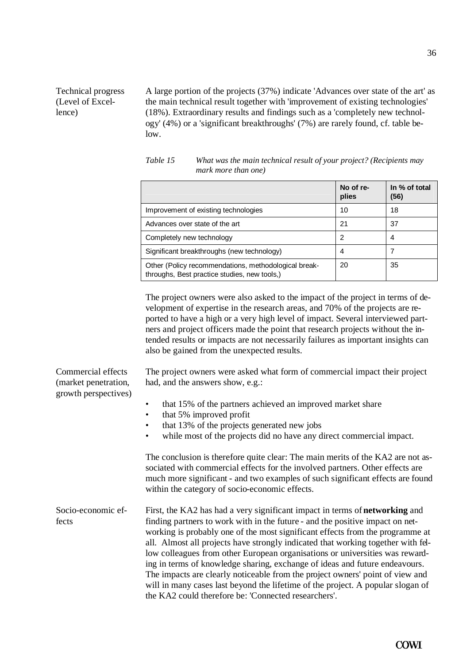#### Technical progress (Level of Excellence)

A large portion of the projects (37%) indicate 'Advances over state of the art' as the main technical result together with 'improvement of existing technologies' (18%). Extraordinary results and findings such as a 'completely new technology' (4%) or a 'significant breakthroughs' (7%) are rarely found, cf. table below.

|                                                                                                      | No of re-<br>plies | In % of total<br>(56) |
|------------------------------------------------------------------------------------------------------|--------------------|-----------------------|
| Improvement of existing technologies                                                                 | 10                 | 18                    |
| Advances over state of the art                                                                       | 21                 | 37                    |
| Completely new technology                                                                            | 2                  | 4                     |
| Significant breakthroughs (new technology)                                                           | 4                  |                       |
| Other (Policy recommendations, methodological break-<br>throughs, Best practice studies, new tools,) | 20                 | 35                    |

*Table 15 What was the main technical result of your project? (Recipients may mark more than one)*

The project owners were also asked to the impact of the project in terms of development of expertise in the research areas, and 70% of the projects are reported to have a high or a very high level of impact. Several interviewed partners and project officers made the point that research projects without the intended results or impacts are not necessarily failures as important insights can also be gained from the unexpected results.

The project owners were asked what form of commercial impact their project had, and the answers show, e.g.:

(market penetration, growth perspectives)

Commercial effects

- that 15% of the partners achieved an improved market share
- that 5% improved profit
- that 13% of the projects generated new jobs
- while most of the projects did no have any direct commercial impact.

The conclusion is therefore quite clear: The main merits of the KA2 are not associated with commercial effects for the involved partners. Other effects are much more significant - and two examples of such significant effects are found within the category of socio-economic effects.

First, the KA2 has had a very significant impact in terms of **networking** and finding partners to work with in the future - and the positive impact on networking is probably one of the most significant effects from the programme at all. Almost all projects have strongly indicated that working together with fellow colleagues from other European organisations or universities was rewarding in terms of knowledge sharing, exchange of ideas and future endeavours. The impacts are clearly noticeable from the project owners' point of view and will in many cases last beyond the lifetime of the project. A popular slogan of the KA2 could therefore be: 'Connected researchers'. Socio-economic effects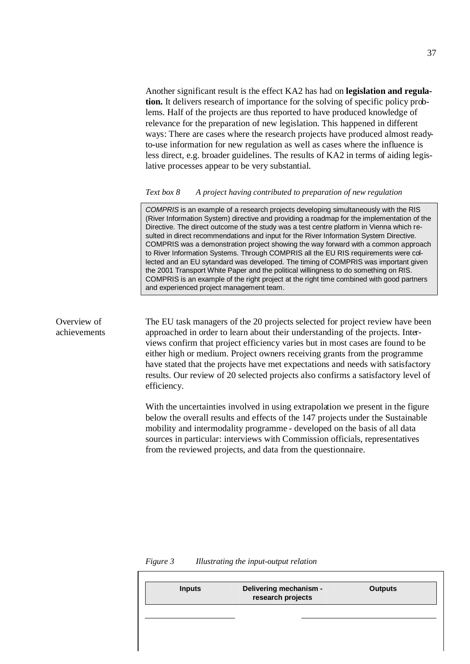Another significant result is the effect KA2 has had on **legislation and regulation.** It delivers research of importance for the solving of specific policy problems. Half of the projects are thus reported to have produced knowledge of relevance for the preparation of new legislation. This happened in different ways: There are cases where the research projects have produced almost readyto-use information for new regulation as well as cases where the influence is less direct, e.g. broader guidelines. The results of KA2 in terms of aiding legislative processes appear to be very substantial.

#### *Text box 8 A project having contributed to preparation of new regulation*

*COMPRIS* is an example of a research projects developing simultaneously with the RIS (River Information System) directive and providing a roadmap for the implementation of the Directive. The direct outcome of the study was a test centre platform in Vienna which resulted in direct recommendations and input for the River Information System Directive. COMPRIS was a demonstration project showing the way forward with a common approach to River Information Systems. Through COMPRIS all the EU RIS requirements were collected and an EU sytandard was developed. The timing of COMPRIS was important given the 2001 Transport White Paper and the political willingness to do something on RIS. COMPRIS is an example of the right project at the right time combined with good partners and experienced project management team.

The EU task managers of the 20 projects selected for project review have been approached in order to learn about their understanding of the projects. Interviews confirm that project efficiency varies but in most cases are found to be either high or medium. Project owners receiving grants from the programme have stated that the projects have met expectations and needs with satisfactory results. Our review of 20 selected projects also confirms a satisfactory level of efficiency.

With the uncertainties involved in using extrapolation we present in the figure below the overall results and effects of the 147 projects under the Sustainable mobility and intermodality programme - developed on the basis of all data sources in particular: interviews with Commission officials, representatives from the reviewed projects, and data from the questionnaire.

*Figure 3 Illustrating the input-output relation*

Overview of achievements

| Delivering mechanism -<br>research projects | <b>Outputs</b> |
|---------------------------------------------|----------------|
|                                             |                |
|                                             |                |
|                                             |                |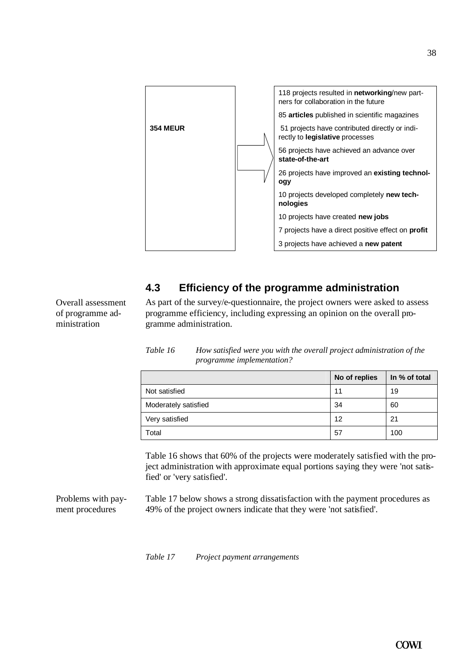

## **4.3 Efficiency of the programme administration**

As part of the survey/e-questionnaire, the project owners were asked to assess programme efficiency, including expressing an opinion on the overall programme administration.

| Table 16 | How satisfied were you with the overall project administration of the |
|----------|-----------------------------------------------------------------------|
|          | <i>programme implementation?</i>                                      |

|                      | No of replies | In % of total |
|----------------------|---------------|---------------|
| Not satisfied        | 11            | 19            |
| Moderately satisfied | 34            | 60            |
| Very satisfied       | 12            | 21            |
| Total                | 57            | 100           |

Table 16 shows that 60% of the projects were moderately satisfied with the project administration with approximate equal portions saying they were 'not satisfied' or 'very satisfied'.

Table 17 below shows a strong dissatisfaction with the payment procedures as 49% of the project owners indicate that they were 'not satisfied'. Problems with payment procedures

*Table 17 Project payment arrangements*

Overall assessment of programme administration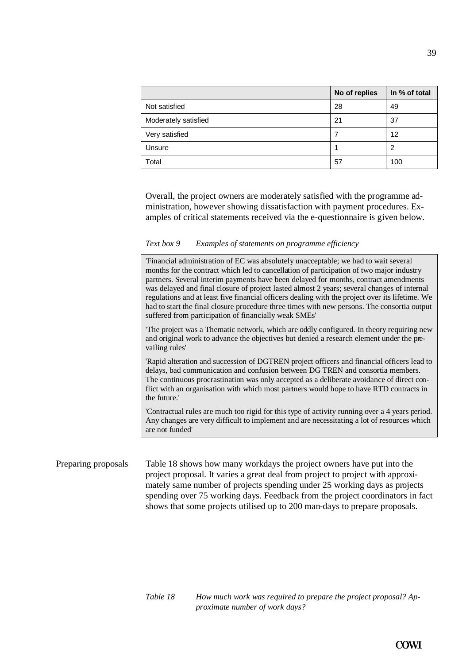|                      | No of replies | In % of total |
|----------------------|---------------|---------------|
| Not satisfied        | 28            | 49            |
| Moderately satisfied | 21            | 37            |
| Very satisfied       |               | 12            |
| Unsure               |               | າ             |
| Total                | 57            | 100           |

Overall, the project owners are moderately satisfied with the programme administration, however showing dissatisfaction with payment procedures. Examples of critical statements received via the e-questionnaire is given below.

#### *Text box 9 Examples of statements on programme efficiency*

'Financial administration of EC was absolutely unacceptable; we had to wait several months for the contract which led to cancellation of participation of two major industry partners. Several interim payments have been delayed for months, contract amendments was delayed and final closure of project lasted almost 2 years; several changes of internal regulations and at least five financial officers dealing with the project over its lifetime. We had to start the final closure procedure three times with new persons. The consortia output suffered from participation of financially weak SMEs'

'The project was a Thematic network, which are oddly configured. In theory requiring new and original work to advance the objectives but denied a research element under the prevailing rules'

'Rapid alteration and succession of DGTREN project officers and financial officers lead to delays, bad communication and confusion between DG TREN and consortia members. The continuous procrastination was only accepted as a deliberate avoidance of direct conflict with an organisation with which most partners would hope to have RTD contracts in the future.'

'Contractual rules are much too rigid for this type of activity running over a 4 years period. Any changes are very difficult to implement and are necessitating a lot of resources which are not funded'

Preparing proposals Table 18 shows how many workdays the project owners have put into the project proposal. It varies a great deal from project to project with approximately same number of projects spending under 25 working days as projects spending over 75 working days. Feedback from the project coordinators in fact shows that some projects utilised up to 200 man-days to prepare proposals.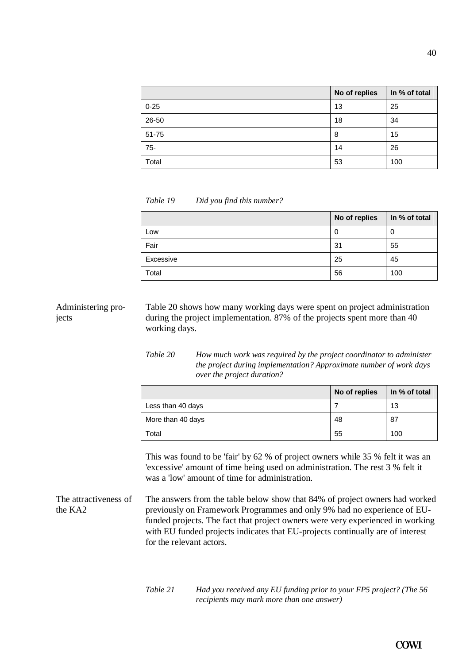|          | No of replies | In % of total |
|----------|---------------|---------------|
| $0 - 25$ | 13            | 25            |
| 26-50    | 18            | 34            |
| 51-75    | 8             | 15            |
| $75-$    | 14            | 26            |
| Total    | 53            | 100           |

*Table 19 Did you find this number?*

|           | No of replies | In % of total |
|-----------|---------------|---------------|
| Low       | 0             | U             |
| Fair      | 31            | 55            |
| Excessive | 25            | 45            |
| Total     | 56            | 100           |

Table 20 shows how many working days were spent on project administration during the project implementation. 87% of the projects spent more than 40 working days. Administering projects

> *Table 20 How much work was required by the project coordinator to administer the project during implementation? Approximate number of work days over the project duration?*

|                   | No of replies | In % of total |
|-------------------|---------------|---------------|
| Less than 40 days |               | 13            |
| More than 40 days | 48            | 87            |
| Total             | 55            | 100           |

This was found to be 'fair' by 62 % of project owners while 35 % felt it was an 'excessive' amount of time being used on administration. The rest 3 % felt it was a 'low' amount of time for administration.

The answers from the table below show that 84% of project owners had worked previously on Framework Programmes and only 9% had no experience of EUfunded projects. The fact that project owners were very experienced in working with EU funded projects indicates that EU-projects continually are of interest for the relevant actors. The attractiveness of the KA2

| Table 21 | Had you received any EU funding prior to your FP5 project? (The 56 |
|----------|--------------------------------------------------------------------|
|          | <i>recipients may mark more than one answer)</i>                   |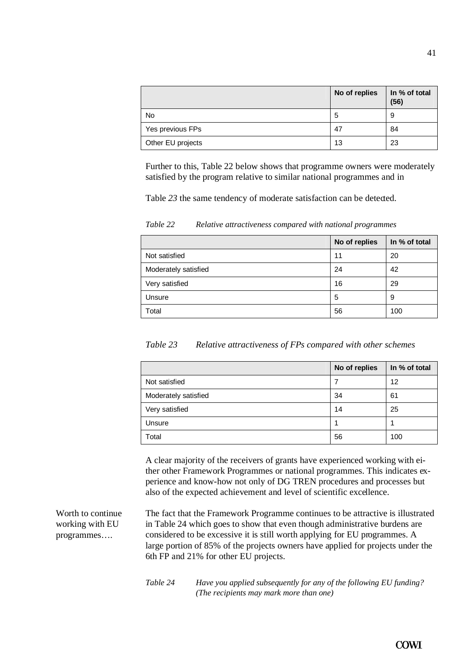|                   | No of replies | In % of total<br>(56) |
|-------------------|---------------|-----------------------|
| No                | 5             | 9                     |
| Yes previous FPs  | 47            | 84                    |
| Other EU projects | 13            | 23                    |

Further to this, Table 22 below shows that programme owners were moderately satisfied by the program relative to similar national programmes and in

Table 23 the same tendency of moderate satisfaction can be detected.

|                      | No of replies | In % of total |
|----------------------|---------------|---------------|
| Not satisfied        | 11            | 20            |
| Moderately satisfied | 24            | 42            |
| Very satisfied       | 16            | 29            |
| Unsure               | 5             | 9             |
| Total                | 56            | 100           |

*Table 22 Relative attractiveness compared with national programmes*

| Table 23 | Relative attractiveness of FPs compared with other schemes |  |  |  |  |
|----------|------------------------------------------------------------|--|--|--|--|
|----------|------------------------------------------------------------|--|--|--|--|

|                      | No of replies | In % of total |
|----------------------|---------------|---------------|
| Not satisfied        |               | 12            |
| Moderately satisfied | 34            | 61            |
| Very satisfied       | 14            | 25            |
| Unsure               |               |               |
| Total                | 56            | 100           |

A clear majority of the receivers of grants have experienced working with either other Framework Programmes or national programmes. This indicates experience and know-how not only of DG TREN procedures and processes but also of the expected achievement and level of scientific excellence.

Worth to continue working with EU programmes….

The fact that the Framework Programme continues to be attractive is illustrated in Table 24 which goes to show that even though administrative burdens are considered to be excessive it is still worth applying for EU programmes. A large portion of 85% of the projects owners have applied for projects under the 6th FP and 21% for other EU projects.

*Table 24 Have you applied subsequently for any of the following EU funding? (The recipients may mark more than one)*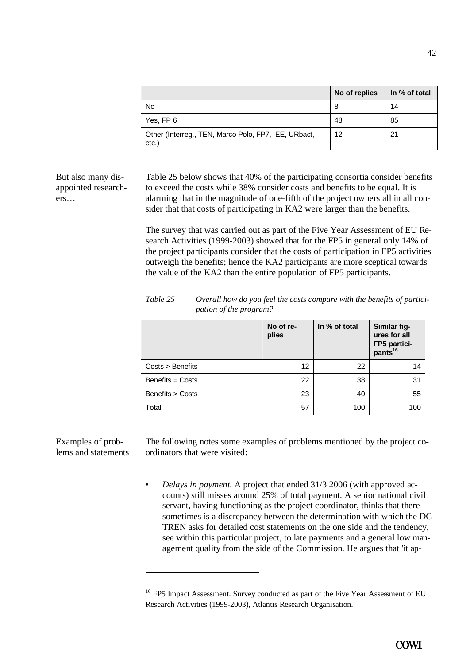|                                                                  | No of replies | In % of total |
|------------------------------------------------------------------|---------------|---------------|
| No                                                               | 8             | 14            |
| Yes, FP 6                                                        | 48            | 85            |
| Other (Interreg., TEN, Marco Polo, FP7, IEE, URbact,<br>$etc.$ ) | 12            | 21            |

But also many disappointed researchers…

Table 25 below shows that 40% of the participating consortia consider benefits to exceed the costs while 38% consider costs and benefits to be equal. It is alarming that in the magnitude of one-fifth of the project owners all in all consider that that costs of participating in KA2 were larger than the benefits.

The survey that was carried out as part of the Five Year Assessment of EU Research Activities (1999-2003) showed that for the FP5 in general only 14% of the project participants consider that the costs of participation in FP5 activities outweigh the benefits; hence the KA2 participants are more sceptical towards the value of the KA2 than the entire population of FP5 participants.

|                    | No of re-<br>plies | In % of total | Similar fig-<br>ures for all<br>FP5 partici-<br>pants <sup>16</sup> |
|--------------------|--------------------|---------------|---------------------------------------------------------------------|
| $Costs >$ Benefits | 12 <sup>2</sup>    | 22            | 14                                                                  |
| Benefits = Costs   | 22                 | 38            | 31                                                                  |
| Benefits > Costs   | 23                 | 40            | 55                                                                  |
| Total              | 57                 | 100           | 100                                                                 |

*Table 25 Overall how do you feel the costs compare with the benefits of participation of the program?*

Examples of problems and statements

l

The following notes some examples of problems mentioned by the project coordinators that were visited:

• *Delays in payment.* A project that ended 31/3 2006 (with approved accounts) still misses around 25% of total payment. A senior national civil servant, having functioning as the project coordinator, thinks that there sometimes is a discrepancy between the determination with which the DG TREN asks for detailed cost statements on the one side and the tendency, see within this particular project, to late payments and a general low management quality from the side of the Commission. He argues that 'it ap-

<sup>&</sup>lt;sup>16</sup> FP5 Impact Assessment. Survey conducted as part of the Five Year Assessment of EU Research Activities (1999-2003), Atlantis Research Organisation.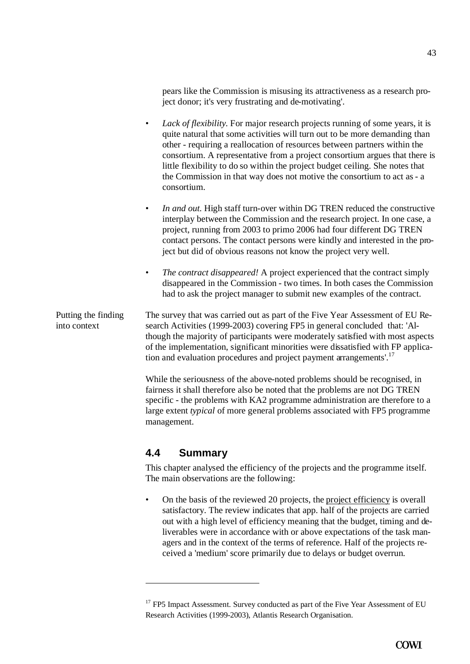pears like the Commission is misusing its attractiveness as a research project donor; it's very frustrating and de-motivating'.

- *Lack of flexibility*. For major research projects running of some years, it is quite natural that some activities will turn out to be more demanding than other - requiring a reallocation of resources between partners within the consortium. A representative from a project consortium argues that there is little flexibility to do so within the project budget ceiling. She notes that the Commission in that way does not motive the consortium to act as - a consortium.
- In and out. High staff turn-over within DG TREN reduced the constructive interplay between the Commission and the research project. In one case, a project, running from 2003 to primo 2006 had four different DG TREN contact persons. The contact persons were kindly and interested in the project but did of obvious reasons not know the project very well.
- *The contract disappeared!* A project experienced that the contract simply disappeared in the Commission - two times. In both cases the Commission had to ask the project manager to submit new examples of the contract.

The survey that was carried out as part of the Five Year Assessment of EU Research Activities (1999-2003) covering FP5 in general concluded that: 'Although the majority of participants were moderately satisfied with most aspects of the implementation, significant minorities were dissatisfied with FP application and evaluation procedures and project payment arrangements'.<sup>17</sup> Putting the finding into context

> While the seriousness of the above-noted problems should be recognised, in fairness it shall therefore also be noted that the problems are not DG TREN specific - the problems with KA2 programme administration are therefore to a large extent *typical* of more general problems associated with FP5 programme management.

## **4.4 Summary**

 $\overline{a}$ 

This chapter analysed the efficiency of the projects and the programme itself. The main observations are the following:

• On the basis of the reviewed 20 projects, the project efficiency is overall satisfactory. The review indicates that app. half of the projects are carried out with a high level of efficiency meaning that the budget, timing and deliverables were in accordance with or above expectations of the task managers and in the context of the terms of reference. Half of the projects received a 'medium' score primarily due to delays or budget overrun.

<sup>&</sup>lt;sup>17</sup> FP5 Impact Assessment. Survey conducted as part of the Five Year Assessment of EU Research Activities (1999-2003), Atlantis Research Organisation.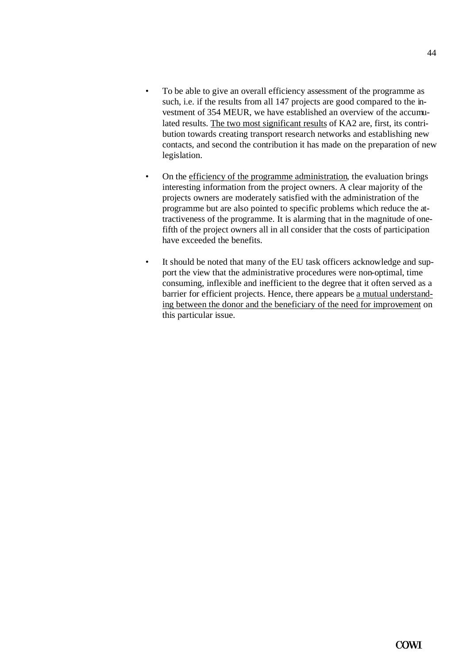- To be able to give an overall efficiency assessment of the programme as such, i.e. if the results from all 147 projects are good compared to the investment of 354 MEUR, we have established an overview of the accumulated results. The two most significant results of KA2 are, first, its contribution towards creating transport research networks and establishing new contacts, and second the contribution it has made on the preparation of new legislation.
- On the efficiency of the programme administration, the evaluation brings interesting information from the project owners. A clear majority of the projects owners are moderately satisfied with the administration of the programme but are also pointed to specific problems which reduce the attractiveness of the programme. It is alarming that in the magnitude of onefifth of the project owners all in all consider that the costs of participation have exceeded the benefits.
- It should be noted that many of the EU task officers acknowledge and support the view that the administrative procedures were non-optimal, time consuming, inflexible and inefficient to the degree that it often served as a barrier for efficient projects. Hence, there appears be a mutual understanding between the donor and the beneficiary of the need for improvement on this particular issue.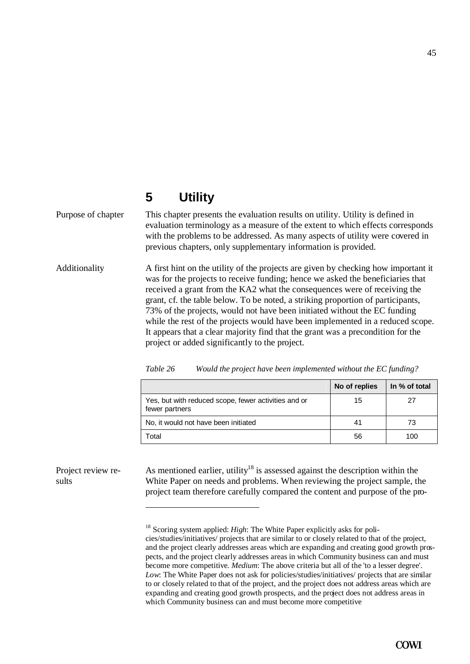# **5 Utility**

Purpose of chapter This chapter presents the evaluation results on utility. Utility is defined in evaluation terminology as a measure of the extent to which effects corresponds with the problems to be addressed. As many aspects of utility were covered in previous chapters, only supplementary information is provided.

A first hint on the utility of the projects are given by checking how important it was for the projects to receive funding; hence we asked the beneficiaries that received a grant from the KA2 what the consequences were of receiving the grant, cf. the table below. To be noted, a striking proportion of participants, 73% of the projects, would not have been initiated without the EC funding while the rest of the projects would have been implemented in a reduced scope. It appears that a clear majority find that the grant was a precondition for the project or added significantly to the project. Additionality

|                                                                        | No of replies | In % of total |
|------------------------------------------------------------------------|---------------|---------------|
| Yes, but with reduced scope, fewer activities and or<br>fewer partners | 15            | 27            |
| No, it would not have been initiated                                   | 41            | 73            |
| Total                                                                  | 56            | 100           |

| Table 26 | Would the project have been implemented without the EC funding? |  |  |  |
|----------|-----------------------------------------------------------------|--|--|--|
|          |                                                                 |  |  |  |

### Project review results

 $\overline{a}$ 

As mentioned earlier, utility<sup>18</sup> is assessed against the description within the White Paper on needs and problems. When reviewing the project sample, the project team therefore carefully compared the content and purpose of the pro-

<sup>&</sup>lt;sup>18</sup> Scoring system applied: *High*: The White Paper explicitly asks for policies/studies/initiatives/ projects that are similar to or closely related to that of the project, and the project clearly addresses areas which are expanding and creating good growth prospects, and the project clearly addresses areas in which Community business can and must become more competitive. *Medium*: The above criteria but all of the 'to a lesser degree'. *Low*: The White Paper does not ask for policies/studies/initiatives/ projects that are similar to or closely related to that of the project, and the project does not address areas which are expanding and creating good growth prospects, and the project does not address areas in which Community business can and must become more competitive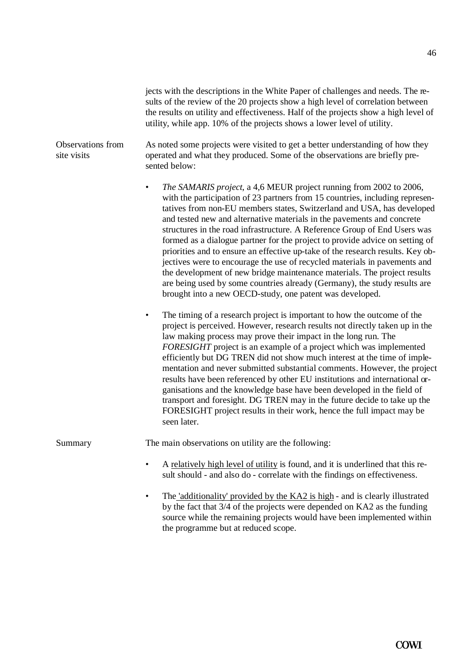jects with the descriptions in the White Paper of challenges and needs. The results of the review of the 20 projects show a high level of correlation between the results on utility and effectiveness. Half of the projects show a high level of utility, while app. 10% of the projects shows a lower level of utility.

#### As noted some projects were visited to get a better understanding of how they operated and what they produced. Some of the observations are briefly presented below: Observations from site visits

- *The SAMARIS project*, a 4,6 MEUR project running from 2002 to 2006, with the participation of 23 partners from 15 countries, including representatives from non-EU members states, Switzerland and USA, has developed and tested new and alternative materials in the pavements and concrete structures in the road infrastructure. A Reference Group of End Users was formed as a dialogue partner for the project to provide advice on setting of priorities and to ensure an effective up-take of the research results. Key objectives were to encourage the use of recycled materials in pavements and the development of new bridge maintenance materials. The project results are being used by some countries already (Germany), the study results are brought into a new OECD-study, one patent was developed.
- The timing of a research project is important to how the outcome of the project is perceived. However, research results not directly taken up in the law making process may prove their impact in the long run. The *FORESIGHT* project is an example of a project which was implemented efficiently but DG TREN did not show much interest at the time of implementation and never submitted substantial comments. However, the project results have been referenced by other EU institutions and international organisations and the knowledge base have been developed in the field of transport and foresight. DG TREN may in the future decide to take up the FORESIGHT project results in their work, hence the full impact may be seen later.

Summary The main observations on utility are the following:

- A relatively high level of utility is found, and it is underlined that this result should - and also do - correlate with the findings on effectiveness.
- The 'additionality' provided by the KA2 is high and is clearly illustrated by the fact that 3/4 of the projects were depended on KA2 as the funding source while the remaining projects would have been implemented within the programme but at reduced scope.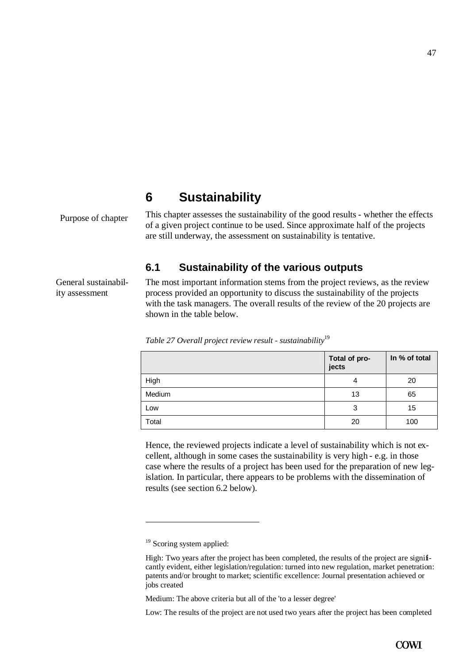# **6 Sustainability**

Purpose of chapter

This chapter assesses the sustainability of the good results - whether the effects of a given project continue to be used. Since approximate half of the projects are still underway, the assessment on sustainability is tentative.

# **6.1 Sustainability of the various outputs**

General sustainability assessment

The most important information stems from the project reviews, as the review process provided an opportunity to discuss the sustainability of the projects with the task managers. The overall results of the review of the 20 projects are shown in the table below.

|        | Total of pro-<br>jects | In % of total |
|--------|------------------------|---------------|
| High   | 4                      | 20            |
| Medium | 13                     | 65            |
| Low    | 3                      | 15            |
| Total  | 20                     | 100           |

*Table 27 Overall project review result - sustainability*<sup>19</sup>

Hence, the reviewed projects indicate a level of sustainability which is not excellent, although in some cases the sustainability is very high - e.g. in those case where the results of a project has been used for the preparation of new legislation. In particular, there appears to be problems with the dissemination of results (see section 6.2 below).

Low: The results of the project are not used two years after the project has been completed

<sup>&</sup>lt;sup>19</sup> Scoring system applied:

High: Two years after the project has been completed, the results of the project are significantly evident, either legislation/regulation: turned into new regulation, market penetration: patents and/or brought to market; scientific excellence: Journal presentation achieved or jobs created

Medium: The above criteria but all of the 'to a lesser degree'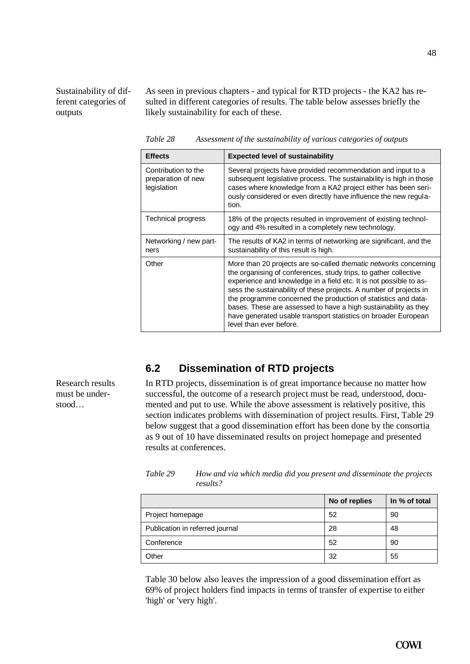Sustainability of different categories of outputs

As seen in previous chapters - and typical for RTD projects - the KA2 has resulted in different categories of results. The table below assesses briefly the likely sustainability for each of these.

*Table 28 Assessment of the sustainability of various categories of outputs* 

| <b>Effects</b>                                           | <b>Expected level of sustainability</b>                                                                                                                                                                                                                                                                                                                                                                                                                                                                                   |  |  |
|----------------------------------------------------------|---------------------------------------------------------------------------------------------------------------------------------------------------------------------------------------------------------------------------------------------------------------------------------------------------------------------------------------------------------------------------------------------------------------------------------------------------------------------------------------------------------------------------|--|--|
| Contribution to the<br>preparation of new<br>legislation | Several projects have provided recommendation and input to a<br>subsequent legislative process. The sustainability is high in those<br>cases where knowledge from a KA2 project either has been seri-<br>ously considered or even directly have influence the new regula-<br>tion.                                                                                                                                                                                                                                        |  |  |
| <b>Technical progress</b>                                | 18% of the projects resulted in improvement of existing technol-<br>ogy and 4% resulted in a completely new technology.                                                                                                                                                                                                                                                                                                                                                                                                   |  |  |
| Networking / new part-<br>ners                           | The results of KA2 in terms of networking are significant, and the<br>sustainability of this result is high.                                                                                                                                                                                                                                                                                                                                                                                                              |  |  |
| Other                                                    | More than 20 projects are so-called <i>thematic networks</i> concerning<br>the organising of conferences, study trips, to gather collective<br>experience and knowledge in a field etc. It is not possible to as-<br>sess the sustainability of these projects. A number of projects in<br>the programme concerned the production of statistics and data-<br>bases. These are assessed to have a high sustainability as they<br>have generated usable transport statistics on broader European<br>level than ever before. |  |  |

## **6.2 Dissemination of RTD projects**

In RTD projects, dissemination is of great importance because no matter how successful, the outcome of a research project must be read, understood, documented and put to use. While the above assessment is relatively positive, this section indicates problems with dissemination of project results. First, Table 29 below suggest that a good dissemination effort has been done by the consortia as 9 out of 10 have disseminated results on project homepage and presented results at conferences.

|                                 | No of replies | In % of total |
|---------------------------------|---------------|---------------|
| Project homepage                | 52            | 90            |
| Publication in referred journal | 28            | 48            |
| Conference                      | 52            | 90            |
| Other                           | 32            | 55            |

*Table 29 How and via which media did you present and disseminate the projects results?* 

Table 30 below also leaves the impression of a good dissemination effort as 69% of project holders find impacts in terms of transfer of expertise to either 'high' or 'very high'.

Research results must be understood…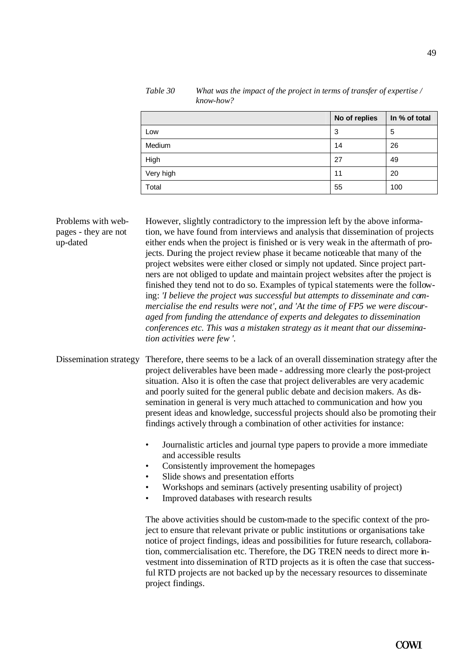|           | No of replies | In % of total |
|-----------|---------------|---------------|
| Low       | 3             | 5             |
| Medium    | 14            | 26            |
| High      | 27            | 49            |
| Very high | 11            | 20            |
| Total     | 55            | 100           |

*Table 30 What was the impact of the project in terms of transfer of expertise / know-how?*

However, slightly contradictory to the impression left by the above information, we have found from interviews and analysis that dissemination of projects either ends when the project is finished or is very weak in the aftermath of projects. During the project review phase it became noticeable that many of the project websites were either closed or simply not updated. Since project partners are not obliged to update and maintain project websites after the project is finished they tend not to do so. Examples of typical statements were the following: *'I believe the project was successful but attempts to disseminate and commercialise the end results were not', and 'At the time of FP5 we were discouraged from funding the attendance of experts and delegates to dissemination conferences etc. This was a mistaken strategy as it meant that our dissemination activities were few '.* Problems with webpages - they are not up-dated

Dissemination strategy Therefore, there seems to be a lack of an overall dissemination strategy after the project deliverables have been made - addressing more clearly the post-project situation. Also it is often the case that project deliverables are very academic and poorly suited for the general public debate and decision makers. As dissemination in general is very much attached to communication and how you present ideas and knowledge, successful projects should also be promoting their findings actively through a combination of other activities for instance:

- Journalistic articles and journal type papers to provide a more immediate and accessible results
- Consistently improvement the homepages
- Slide shows and presentation efforts
- Workshops and seminars (actively presenting usability of project)
- Improved databases with research results

The above activities should be custom-made to the specific context of the project to ensure that relevant private or public institutions or organisations take notice of project findings, ideas and possibilities for future research, collaboration, commercialisation etc. Therefore, the DG TREN needs to direct more investment into dissemination of RTD projects as it is often the case that successful RTD projects are not backed up by the necessary resources to disseminate project findings.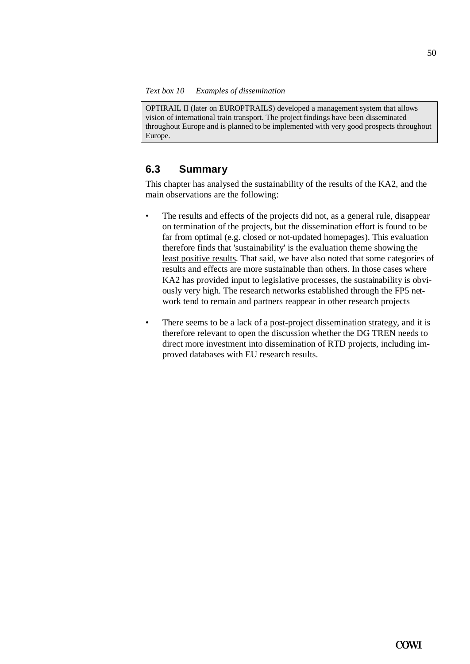OPTIRAIL II (later on EUROPTRAILS) developed a management system that allows vision of international train transport. The project findings have been disseminated throughout Europe and is planned to be implemented with very good prospects throughout Europe.

### **6.3 Summary**

This chapter has analysed the sustainability of the results of the KA2, and the main observations are the following:

- The results and effects of the projects did not, as a general rule, disappear on termination of the projects, but the dissemination effort is found to be far from optimal (e.g. closed or not-updated homepages). This evaluation therefore finds that 'sustainability' is the evaluation theme showing the least positive results. That said, we have also noted that some categories of results and effects are more sustainable than others. In those cases where KA2 has provided input to legislative processes, the sustainability is obviously very high. The research networks established through the FP5 network tend to remain and partners reappear in other research projects
- There seems to be a lack of a post-project dissemination strategy, and it is therefore relevant to open the discussion whether the DG TREN needs to direct more investment into dissemination of RTD projects, including improved databases with EU research results.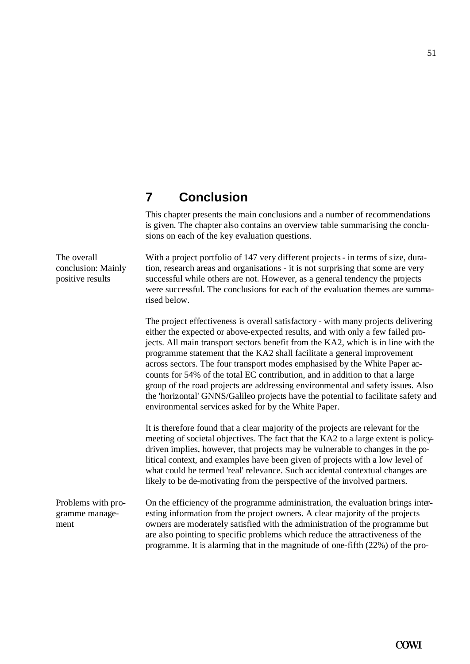# **7 Conclusion**

This chapter presents the main conclusions and a number of recommendations is given. The chapter also contains an overview table summarising the conclusions on each of the key evaluation questions.

With a project portfolio of 147 very different projects - in terms of size, duration, research areas and organisations - it is not surprising that some are very successful while others are not. However, as a general tendency the projects were successful. The conclusions for each of the evaluation themes are summarised below.

The project effectiveness is overall satisfactory - with many projects delivering either the expected or above-expected results, and with only a few failed projects. All main transport sectors benefit from the KA2, which is in line with the programme statement that the KA2 shall facilitate a general improvement across sectors. The four transport modes emphasised by the White Paper accounts for 54% of the total EC contribution, and in addition to that a large group of the road projects are addressing environmental and safety issues. Also the 'horizontal' GNNS/Galileo projects have the potential to facilitate safety and environmental services asked for by the White Paper.

It is therefore found that a clear majority of the projects are relevant for the meeting of societal objectives. The fact that the KA2 to a large extent is policydriven implies, however, that projects may be vulnerable to changes in the political context, and examples have been given of projects with a low level of what could be termed 'real' relevance. Such accidental contextual changes are likely to be de-motivating from the perspective of the involved partners.

On the efficiency of the programme administration, the evaluation brings interesting information from the project owners. A clear majority of the projects owners are moderately satisfied with the administration of the programme but are also pointing to specific problems which reduce the attractiveness of the programme. It is alarming that in the magnitude of one-fifth (22%) of the pro-Problems with programme management

The overall conclusion: Mainly positive results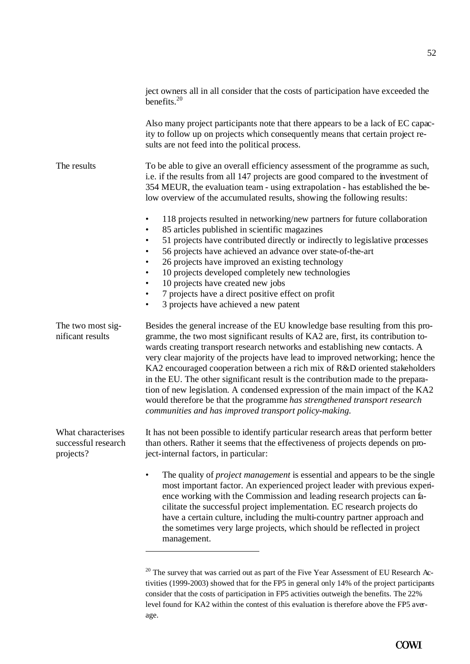|                                                        | ject owners all in all consider that the costs of participation have exceeded the<br>benefits. $20$                                                                                                                                                                                                                                                                                                                                                                                                                                                                                                                                                                                                                           |
|--------------------------------------------------------|-------------------------------------------------------------------------------------------------------------------------------------------------------------------------------------------------------------------------------------------------------------------------------------------------------------------------------------------------------------------------------------------------------------------------------------------------------------------------------------------------------------------------------------------------------------------------------------------------------------------------------------------------------------------------------------------------------------------------------|
|                                                        | Also many project participants note that there appears to be a lack of EC capac-<br>ity to follow up on projects which consequently means that certain project re-<br>sults are not feed into the political process.                                                                                                                                                                                                                                                                                                                                                                                                                                                                                                          |
| The results                                            | To be able to give an overall efficiency assessment of the programme as such,<br>i.e. if the results from all 147 projects are good compared to the investment of<br>354 MEUR, the evaluation team - using extrapolation - has established the be-<br>low overview of the accumulated results, showing the following results:                                                                                                                                                                                                                                                                                                                                                                                                 |
|                                                        | 118 projects resulted in networking/new partners for future collaboration<br>٠<br>85 articles published in scientific magazines<br>$\bullet$<br>51 projects have contributed directly or indirectly to legislative processes<br>٠<br>56 projects have achieved an advance over state-of-the-art<br>$\bullet$<br>26 projects have improved an existing technology<br>$\bullet$<br>10 projects developed completely new technologies<br>$\bullet$<br>10 projects have created new jobs<br>٠<br>7 projects have a direct positive effect on profit<br>٠<br>3 projects have achieved a new patent<br>$\bullet$                                                                                                                    |
| The two most sig-<br>nificant results                  | Besides the general increase of the EU knowledge base resulting from this pro-<br>gramme, the two most significant results of KA2 are, first, its contribution to-<br>wards creating transport research networks and establishing new contacts. A<br>very clear majority of the projects have lead to improved networking; hence the<br>KA2 encouraged cooperation between a rich mix of R&D oriented stakeholders<br>in the EU. The other significant result is the contribution made to the prepara-<br>tion of new legislation. A condensed expression of the main impact of the KA2<br>would therefore be that the programme has strengthened transport research<br>communities and has improved transport policy-making. |
| What characterises<br>successful research<br>projects? | It has not been possible to identify particular research areas that perform better<br>than others. Rather it seems that the effectiveness of projects depends on pro-<br>ject-internal factors, in particular:                                                                                                                                                                                                                                                                                                                                                                                                                                                                                                                |
|                                                        | The quality of <i>project management</i> is essential and appears to be the single<br>most important factor. An experienced project leader with previous experi-<br>ence working with the Commission and leading research projects can fa-<br>cilitate the successful project implementation. EC research projects do<br>have a certain culture, including the multi-country partner approach and<br>the sometimes very large projects, which should be reflected in project<br>management.                                                                                                                                                                                                                                   |
|                                                        | <sup>20</sup> The survey that was carried out as part of the Five Year Assessment of EU Research Ac-<br>$(1000, 2002)$ showed that fan the EDE in gaugust.                                                                                                                                                                                                                                                                                                                                                                                                                                                                                                                                                                    |

tivities (1999-2003) showed that for the FP5 in general only 14% of the project participants consider that the costs of participation in FP5 activities outweigh the benefits. The 22% level found for KA2 within the contest of this evaluation is therefore above the FP5 average.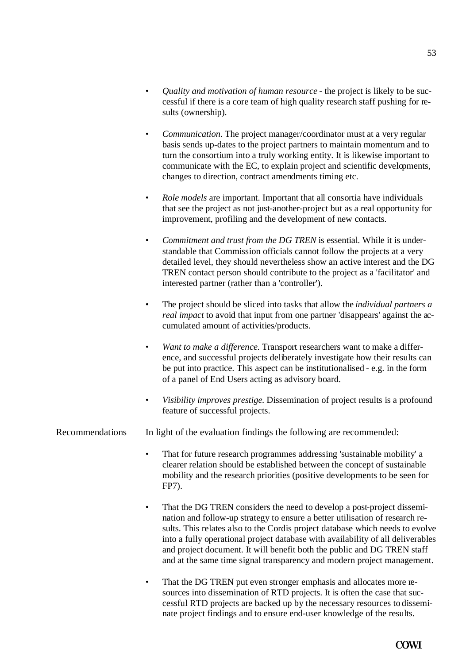- *Quality and motivation of human resource* the project is likely to be successful if there is a core team of high quality research staff pushing for results (ownership).
- *Communication*. The project manager/coordinator must at a very regular basis sends up-dates to the project partners to maintain momentum and to turn the consortium into a truly working entity. It is likewise important to communicate with the EC, to explain project and scientific developments, changes to direction, contract amendments timing etc.
- *Role models* are important. Important that all consortia have individuals that see the project as not just-another-project but as a real opportunity for improvement, profiling and the development of new contacts.
- *Commitment and trust from the DG TREN* is essential. While it is understandable that Commission officials cannot follow the projects at a very detailed level, they should nevertheless show an active interest and the DG TREN contact person should contribute to the project as a 'facilitator' and interested partner (rather than a 'controller').
- The project should be sliced into tasks that allow the *individual partners a real impact* to avoid that input from one partner 'disappears' against the accumulated amount of activities/products.
- *Want to make a difference.* Transport researchers want to make a difference, and successful projects deliberately investigate how their results can be put into practice. This aspect can be institutionalised - e.g. in the form of a panel of End Users acting as advisory board.
- *Visibility improves prestige*. Dissemination of project results is a profound feature of successful projects.
- Recommendations In light of the evaluation findings the following are recommended:
	- That for future research programmes addressing 'sustainable mobility' a clearer relation should be established between the concept of sustainable mobility and the research priorities (positive developments to be seen for FP7).
	- That the DG TREN considers the need to develop a post-project dissemination and follow-up strategy to ensure a better utilisation of research results. This relates also to the Cordis project database which needs to evolve into a fully operational project database with availability of all deliverables and project document. It will benefit both the public and DG TREN staff and at the same time signal transparency and modern project management.
	- That the DG TREN put even stronger emphasis and allocates more resources into dissemination of RTD projects. It is often the case that successful RTD projects are backed up by the necessary resources to disseminate project findings and to ensure end-user knowledge of the results.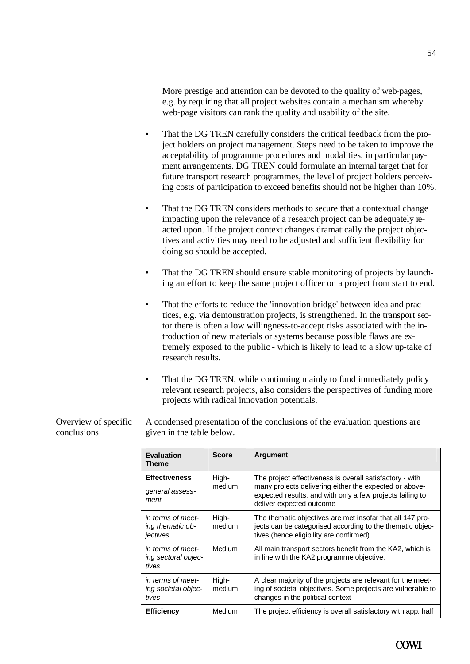More prestige and attention can be devoted to the quality of web-pages, e.g. by requiring that all project websites contain a mechanism whereby web-page visitors can rank the quality and usability of the site.

- That the DG TREN carefully considers the critical feedback from the project holders on project management. Steps need to be taken to improve the acceptability of programme procedures and modalities, in particular payment arrangements. DG TREN could formulate an internal target that for future transport research programmes, the level of project holders perceiving costs of participation to exceed benefits should not be higher than 10%.
- That the DG TREN considers methods to secure that a contextual change impacting upon the relevance of a research project can be adequately reacted upon. If the project context changes dramatically the project objectives and activities may need to be adjusted and sufficient flexibility for doing so should be accepted.
- That the DG TREN should ensure stable monitoring of projects by launching an effort to keep the same project officer on a project from start to end.
- That the efforts to reduce the 'innovation-bridge' between idea and practices, e.g. via demonstration projects, is strengthened. In the transport sector there is often a low willingness-to-accept risks associated with the introduction of new materials or systems because possible flaws are extremely exposed to the public - which is likely to lead to a slow up-take of research results.
- That the DG TREN, while continuing mainly to fund immediately policy relevant research projects, also considers the perspectives of funding more projects with radical innovation potentials.

| Overview of specific | A condensed presentation of the conclusions of the evaluation questions are |
|----------------------|-----------------------------------------------------------------------------|
| conclusions          | given in the table below.                                                   |
|                      |                                                                             |

| <b>Evaluation</b><br><b>Theme</b>                 | <b>Score</b>    | <b>Argument</b>                                                                                                                                                                                             |
|---------------------------------------------------|-----------------|-------------------------------------------------------------------------------------------------------------------------------------------------------------------------------------------------------------|
| <b>Effectiveness</b><br>general assess-<br>ment   | High-<br>medium | The project effectiveness is overall satisfactory - with<br>many projects delivering either the expected or above-<br>expected results, and with only a few projects failing to<br>deliver expected outcome |
| in terms of meet-<br>ing thematic ob-<br>jectives | High-<br>medium | The thematic objectives are met insofar that all 147 pro-<br>jects can be categorised according to the thematic objec-<br>tives (hence eligibility are confirmed)                                           |
| in terms of meet-<br>ing sectoral objec-<br>tives | Medium          | All main transport sectors benefit from the KA2, which is<br>in line with the KA2 programme objective.                                                                                                      |
| in terms of meet-<br>ing societal objec-<br>tives | High-<br>medium | A clear majority of the projects are relevant for the meet-<br>ing of societal objectives. Some projects are vulnerable to<br>changes in the political context                                              |
| <b>Efficiency</b>                                 | Medium          | The project efficiency is overall satisfactory with app. half                                                                                                                                               |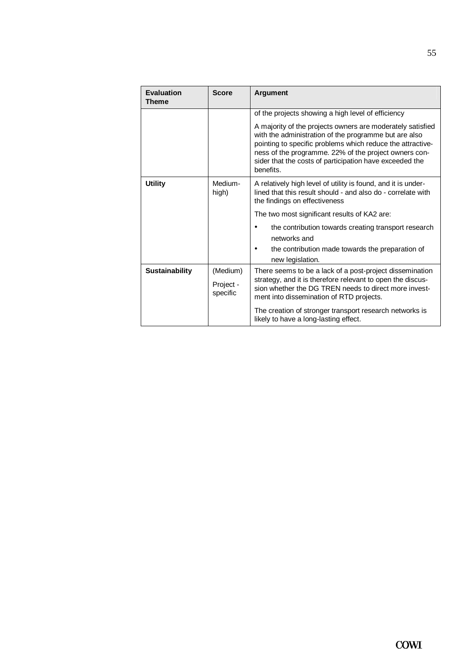| <b>Evaluation</b><br><b>Theme</b> | <b>Score</b>          | <b>Argument</b>                                                                                                                                                                                                                                                                                                    |  |
|-----------------------------------|-----------------------|--------------------------------------------------------------------------------------------------------------------------------------------------------------------------------------------------------------------------------------------------------------------------------------------------------------------|--|
|                                   |                       | of the projects showing a high level of efficiency                                                                                                                                                                                                                                                                 |  |
|                                   |                       | A majority of the projects owners are moderately satisfied<br>with the administration of the programme but are also<br>pointing to specific problems which reduce the attractive-<br>ness of the programme. 22% of the project owners con-<br>sider that the costs of participation have exceeded the<br>benefits. |  |
| <b>Utility</b>                    | Medium-<br>high)      | A relatively high level of utility is found, and it is under-<br>lined that this result should - and also do - correlate with<br>the findings on effectiveness                                                                                                                                                     |  |
|                                   |                       | The two most significant results of KA2 are:                                                                                                                                                                                                                                                                       |  |
|                                   |                       | the contribution towards creating transport research<br>networks and                                                                                                                                                                                                                                               |  |
|                                   |                       | the contribution made towards the preparation of<br>new legislation.                                                                                                                                                                                                                                               |  |
| <b>Sustainability</b>             | (Medium)              | There seems to be a lack of a post-project dissemination                                                                                                                                                                                                                                                           |  |
|                                   | Project -<br>specific | strategy, and it is therefore relevant to open the discus-<br>sion whether the DG TREN needs to direct more invest-<br>ment into dissemination of RTD projects.                                                                                                                                                    |  |
|                                   |                       | The creation of stronger transport research networks is<br>likely to have a long-lasting effect.                                                                                                                                                                                                                   |  |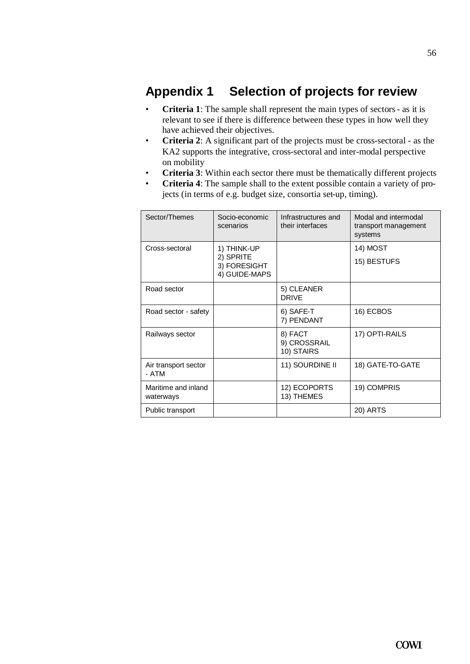# **Appendix 1 Selection of projects for review**

- **Criteria 1**: The sample shall represent the main types of sectors as it is relevant to see if there is difference between these types in how well they have achieved their objectives.
- **Criteria 2**: A significant part of the projects must be cross-sectoral as the KA2 supports the integrative, cross-sectoral and inter-modal perspective on mobility
- **Criteria 3**: Within each sector there must be thematically different projects
- **Criteria 4**: The sample shall to the extent possible contain a variety of projects (in terms of e.g. budget size, consortia set-up, timing).

| Sector/Themes                    | Socio-economic<br>scenarios                               | Infrastructures and<br>their interfaces | Modal and intermodal<br>transport management<br>systems |
|----------------------------------|-----------------------------------------------------------|-----------------------------------------|---------------------------------------------------------|
| Cross-sectoral                   | 1) THINK-UP<br>2) SPRITE<br>3) FORESIGHT<br>4) GUIDE-MAPS |                                         | 14) MOST<br>15) BESTUFS                                 |
| Road sector                      |                                                           | 5) CLEANER<br><b>DRIVE</b>              |                                                         |
| Road sector - safety             |                                                           | 6) SAFE-T<br>7) PENDANT                 | 16) ECBOS                                               |
| Railways sector                  |                                                           | 8) FACT<br>9) CROSSRAIL<br>10) STAIRS   | 17) OPTI-RAILS                                          |
| Air transport sector<br>- ATM    |                                                           | 11) SOURDINE II                         | 18) GATE-TO-GATE                                        |
| Maritime and inland<br>waterways |                                                           | 12) ECOPORTS<br>13) THEMES              | 19) COMPRIS                                             |
| Public transport                 |                                                           |                                         | 20) ARTS                                                |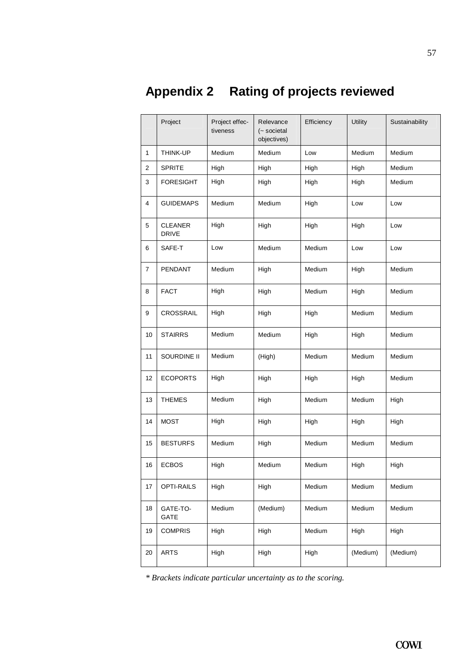# **Appendix 2 Rating of projects reviewed**

|                | Project                        | Project effec-<br>tiveness | Relevance<br>(~ societal<br>objectives) | Efficiency | <b>Utility</b> | Sustainability |
|----------------|--------------------------------|----------------------------|-----------------------------------------|------------|----------------|----------------|
| 1              | THINK-UP                       | Medium                     | Medium                                  | Low        | Medium         | Medium         |
| 2              | <b>SPRITE</b>                  | High                       | High                                    | High       | High           | Medium         |
| 3              | <b>FORESIGHT</b>               | High                       | High                                    | High       | High           | Medium         |
| 4              | <b>GUIDEMAPS</b>               | Medium                     | Medium                                  | High       | Low            | Low            |
| 5              | <b>CLEANER</b><br><b>DRIVE</b> | High                       | High                                    | High       | High           | Low            |
| 6              | SAFE-T                         | Low                        | Medium                                  | Medium     | Low            | Low            |
| $\overline{7}$ | PENDANT                        | Medium                     | High                                    | Medium     | High           | Medium         |
| 8              | <b>FACT</b>                    | High                       | High                                    | Medium     | High           | Medium         |
| 9              | CROSSRAIL                      | High                       | High                                    | High       | Medium         | Medium         |
| 10             | <b>STAIRRS</b>                 | Medium                     | Medium                                  | High       | High           | Medium         |
| 11             | SOURDINE II                    | Medium                     | (High)                                  | Medium     | Medium         | Medium         |
| 12             | <b>ECOPORTS</b>                | High                       | High                                    | High       | High           | Medium         |
| 13             | <b>THEMES</b>                  | Medium                     | High                                    | Medium     | Medium         | High           |
| 14             | <b>MOST</b>                    | High                       | High                                    | High       | High           | High           |
| 15             | <b>BESTURFS</b>                | Medium                     | High                                    | Medium     | Medium         | Medium         |
| 16             | <b>ECBOS</b>                   | High                       | Medium                                  | Medium     | High           | High           |
| 17             | OPTI-RAILS                     | High                       | High                                    | Medium     | Medium         | Medium         |
| 18             | GATE-TO-<br>GATE               | Medium                     | (Medium)                                | Medium     | Medium         | Medium         |
| 19             | <b>COMPRIS</b>                 | High                       | High                                    | Medium     | High           | High           |
| 20             | <b>ARTS</b>                    | High                       | High                                    | High       | (Medium)       | (Medium)       |

*\* Brackets indicate particular uncertainty as to the scoring.*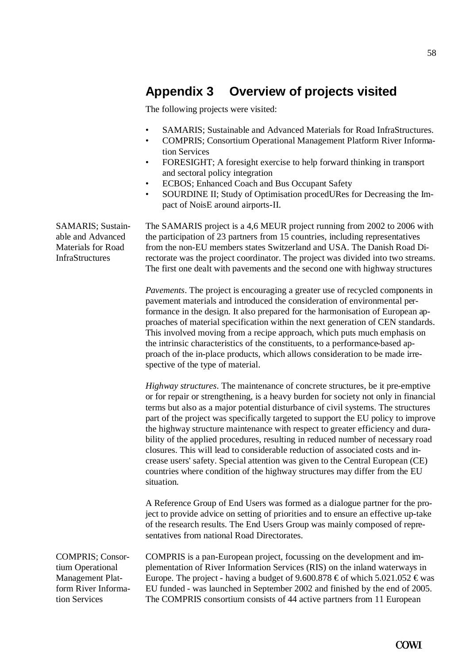# **Appendix 3 Overview of projects visited**

The following projects were visited:

- SAMARIS; Sustainable and Advanced Materials for Road InfraStructures.
- COMPRIS; Consortium Operational Management Platform River Information Services
- FORESIGHT; A foresight exercise to help forward thinking in transport and sectoral policy integration
- ECBOS; Enhanced Coach and Bus Occupant Safety
- SOURDINE II; Study of Optimisation procedURes for Decreasing the Impact of NoisE around airports-II.

The SAMARIS project is a 4,6 MEUR project running from 2002 to 2006 with the participation of 23 partners from 15 countries, including representatives from the non-EU members states Switzerland and USA. The Danish Road Directorate was the project coordinator. The project was divided into two streams. The first one dealt with pavements and the second one with highway structures

*Pavements*. The project is encouraging a greater use of recycled components in pavement materials and introduced the consideration of environmental performance in the design. It also prepared for the harmonisation of European approaches of material specification within the next generation of CEN standards. This involved moving from a recipe approach, which puts much emphasis on the intrinsic characteristics of the constituents, to a performance-based approach of the in-place products, which allows consideration to be made irrespective of the type of material.

*Highway structures*. The maintenance of concrete structures, be it pre-emptive or for repair or strengthening, is a heavy burden for society not only in financial terms but also as a major potential disturbance of civil systems. The structures part of the project was specifically targeted to support the EU policy to improve the highway structure maintenance with respect to greater efficiency and durability of the applied procedures, resulting in reduced number of necessary road closures. This will lead to considerable reduction of associated costs and increase users' safety. Special attention was given to the Central European (CE) countries where condition of the highway structures may differ from the EU situation.

A Reference Group of End Users was formed as a dialogue partner for the project to provide advice on setting of priorities and to ensure an effective up-take of the research results. The End Users Group was mainly composed of representatives from national Road Directorates.

COMPRIS; Consortium Operational Management Platform River Information Services

SAMARIS; Sustainable and Advanced Materials for Road **InfraStructures** 

> COMPRIS is a pan-European project, focussing on the development and implementation of River Information Services (RIS) on the inland waterways in Europe. The project - having a budget of 9.600.878  $\epsilon$  of which 5.021.052  $\epsilon$  was EU funded - was launched in September 2002 and finished by the end of 2005. The COMPRIS consortium consists of 44 active partners from 11 European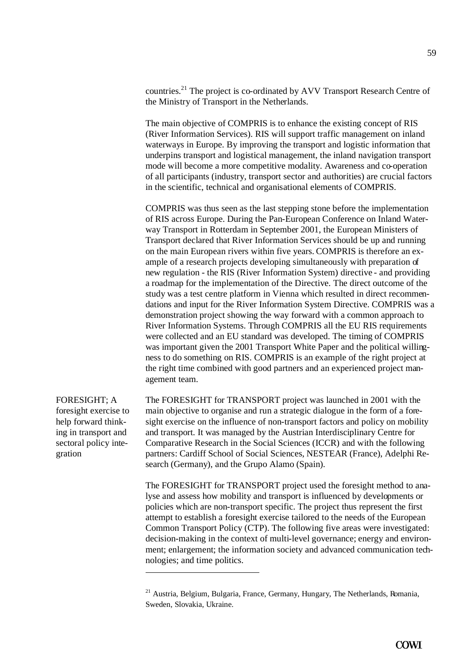countries.<sup>21</sup> The project is co-ordinated by AVV Transport Research Centre of the Ministry of Transport in the Netherlands.

The main objective of COMPRIS is to enhance the existing concept of RIS (River Information Services). RIS will support traffic management on inland waterways in Europe. By improving the transport and logistic information that underpins transport and logistical management, the inland navigation transport mode will become a more competitive modality. Awareness and co-operation of all participants (industry, transport sector and authorities) are crucial factors in the scientific, technical and organisational elements of COMPRIS.

COMPRIS was thus seen as the last stepping stone before the implementation of RIS across Europe. During the Pan-European Conference on Inland Waterway Transport in Rotterdam in September 2001, the European Ministers of Transport declared that River Information Services should be up and running on the main European rivers within five years. COMPRIS is therefore an example of a research projects developing simultaneously with preparation of new regulation - the RIS (River Information System) directive - and providing a roadmap for the implementation of the Directive. The direct outcome of the study was a test centre platform in Vienna which resulted in direct recommendations and input for the River Information System Directive. COMPRIS was a demonstration project showing the way forward with a common approach to River Information Systems. Through COMPRIS all the EU RIS requirements were collected and an EU standard was developed. The timing of COMPRIS was important given the 2001 Transport White Paper and the political willingness to do something on RIS. COMPRIS is an example of the right project at the right time combined with good partners and an experienced project management team.

FORESIGHT; A foresight exercise to help forward thinking in transport and sectoral policy integration

l

The FORESIGHT for TRANSPORT project was launched in 2001 with the main objective to organise and run a strategic dialogue in the form of a foresight exercise on the influence of non-transport factors and policy on mobility and transport. It was managed by the Austrian Interdisciplinary Centre for Comparative Research in the Social Sciences (ICCR) and with the following partners: Cardiff School of Social Sciences, NESTEAR (France), Adelphi Research (Germany), and the Grupo Alamo (Spain).

The FORESIGHT for TRANSPORT project used the foresight method to analyse and assess how mobility and transport is influenced by developments or policies which are non-transport specific. The project thus represent the first attempt to establish a foresight exercise tailored to the needs of the European Common Transport Policy (CTP). The following five areas were investigated: decision-making in the context of multi-level governance; energy and environment; enlargement; the information society and advanced communication technologies; and time politics.

<sup>&</sup>lt;sup>21</sup> Austria, Belgium, Bulgaria, France, Germany, Hungary, The Netherlands, Romania, Sweden, Slovakia, Ukraine.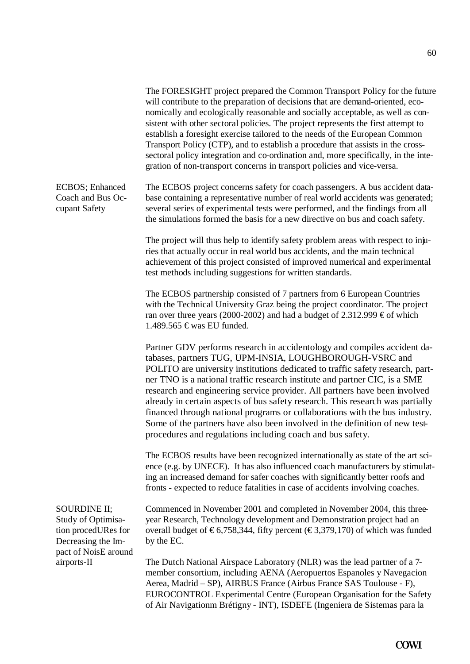The FORESIGHT project prepared the Common Transport Policy for the future will contribute to the preparation of decisions that are demand-oriented, economically and ecologically reasonable and socially acceptable, as well as consistent with other sectoral policies. The project represents the first attempt to establish a foresight exercise tailored to the needs of the European Common Transport Policy (CTP), and to establish a procedure that assists in the crosssectoral policy integration and co-ordination and, more specifically, in the integration of non-transport concerns in transport policies and vice-versa. The ECBOS project concerns safety for coach passengers. A bus accident database containing a representative number of real world accidents was generated; several series of experimental tests were performed, and the findings from all the simulations formed the basis for a new directive on bus and coach safety. The project will thus help to identify safety problem areas with respect to injuries that actually occur in real world bus accidents, and the main technical achievement of this project consisted of improved numerical and experimental test methods including suggestions for written standards. The ECBOS partnership consisted of 7 partners from 6 European Countries with the Technical University Graz being the project coordinator. The project ran over three years (2000-2002) and had a budget of 2.312.999  $\epsilon$  of which 1.489.565 € was EU funded. Partner GDV performs research in accidentology and compiles accident databases, partners TUG, UPM-INSIA, LOUGHBOROUGH-VSRC and POLITO are university institutions dedicated to traffic safety research, partner TNO is a national traffic research institute and partner CIC, is a SME research and engineering service provider. All partners have been involved already in certain aspects of bus safety research. This research was partially financed through national programs or collaborations with the bus industry. Some of the partners have also been involved in the definition of new testprocedures and regulations including coach and bus safety. The ECBOS results have been recognized internationally as state of the art science (e.g. by UNECE). It has also influenced coach manufacturers by stimulating an increased demand for safer coaches with significantly better roofs and fronts - expected to reduce fatalities in case of accidents involving coaches. Commenced in November 2001 and completed in November 2004, this threeyear Research, Technology development and Demonstration project had an overall budget of  $\epsilon$ 6,758,344, fifty percent ( $\epsilon$ 3,379,170) of which was funded by the EC. The Dutch National Airspace Laboratory (NLR) was the lead partner of a 7 member consortium, including AENA (Aeropuertos Espanoles y Navegacion Aerea, Madrid – SP), AIRBUS France (Airbus France SAS Toulouse - F), EUROCONTROL Experimental Centre (European Organisation for the Safety ECBOS; Enhanced Coach and Bus Occupant Safety SOURDINE II; Study of Optimisation procedURes for Decreasing the Impact of NoisE around airports-II

of Air Navigationm Brétigny - INT), ISDEFE (Ingeniera de Sistemas para la